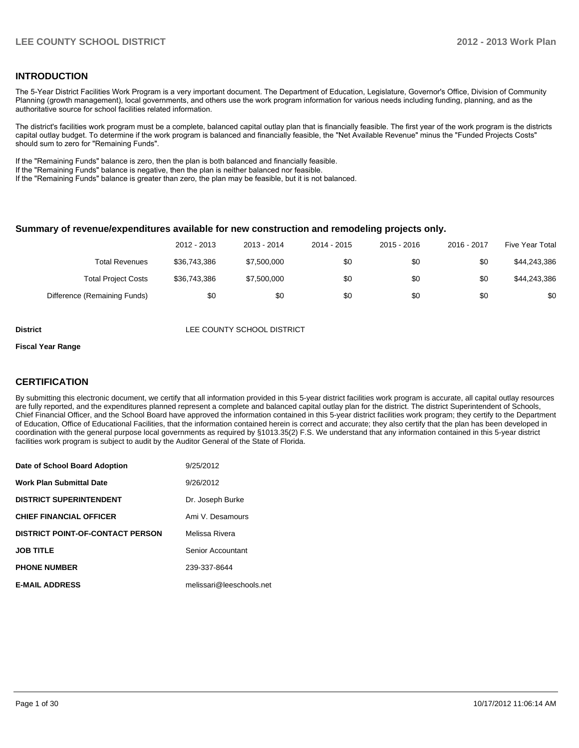#### **INTRODUCTION**

The 5-Year District Facilities Work Program is a very important document. The Department of Education, Legislature, Governor's Office, Division of Community Planning (growth management), local governments, and others use the work program information for various needs including funding, planning, and as the authoritative source for school facilities related information.

The district's facilities work program must be a complete, balanced capital outlay plan that is financially feasible. The first year of the work program is the districts capital outlay budget. To determine if the work program is balanced and financially feasible, the "Net Available Revenue" minus the "Funded Projects Costs" should sum to zero for "Remaining Funds".

If the "Remaining Funds" balance is zero, then the plan is both balanced and financially feasible.

If the "Remaining Funds" balance is negative, then the plan is neither balanced nor feasible.

If the "Remaining Funds" balance is greater than zero, the plan may be feasible, but it is not balanced.

#### **Summary of revenue/expenditures available for new construction and remodeling projects only.**

| <b>Five Year Total</b> | 2016 - 2017 | $2015 - 2016$ | 2014 - 2015 | 2013 - 2014 | 2012 - 2013  |                              |
|------------------------|-------------|---------------|-------------|-------------|--------------|------------------------------|
| \$44,243,386           | \$0         | \$0           | \$0         | \$7,500,000 | \$36.743.386 | <b>Total Revenues</b>        |
| \$44,243,386           | \$0         | \$0           | \$0         | \$7,500,000 | \$36,743,386 | <b>Total Project Costs</b>   |
| \$0                    | \$0         | \$0           | \$0         | \$0         | \$0          | Difference (Remaining Funds) |

**District District LEE COUNTY SCHOOL DISTRICT** 

#### **Fiscal Year Range**

### **CERTIFICATION**

By submitting this electronic document, we certify that all information provided in this 5-year district facilities work program is accurate, all capital outlay resources are fully reported, and the expenditures planned represent a complete and balanced capital outlay plan for the district. The district Superintendent of Schools, Chief Financial Officer, and the School Board have approved the information contained in this 5-year district facilities work program; they certify to the Department of Education, Office of Educational Facilities, that the information contained herein is correct and accurate; they also certify that the plan has been developed in coordination with the general purpose local governments as required by §1013.35(2) F.S. We understand that any information contained in this 5-year district facilities work program is subject to audit by the Auditor General of the State of Florida.

| Date of School Board Adoption           | 9/25/2012                |
|-----------------------------------------|--------------------------|
| <b>Work Plan Submittal Date</b>         | 9/26/2012                |
| <b>DISTRICT SUPERINTENDENT</b>          | Dr. Joseph Burke         |
| <b>CHIEF FINANCIAL OFFICER</b>          | Ami V. Desamours         |
| <b>DISTRICT POINT-OF-CONTACT PERSON</b> | Melissa Rivera           |
| <b>JOB TITLE</b>                        | Senior Accountant        |
| <b>PHONE NUMBER</b>                     | 239-337-8644             |
| <b>E-MAIL ADDRESS</b>                   | melissari@leeschools.net |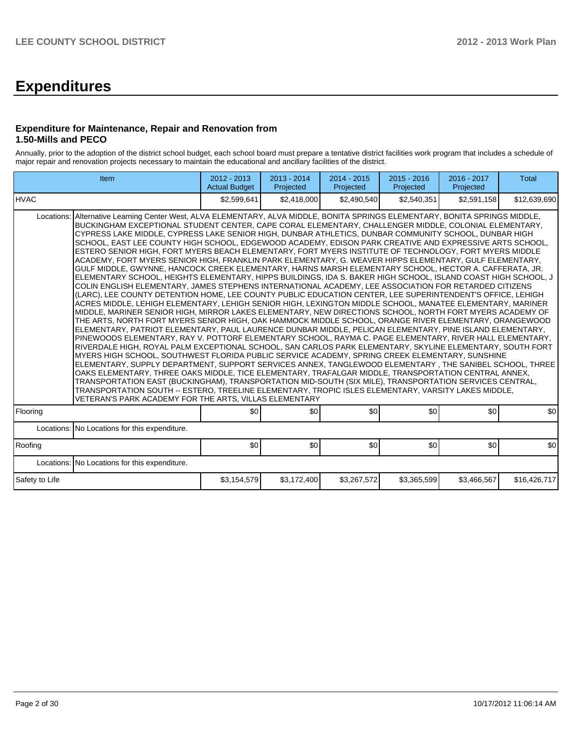# **Expenditures**

### **Expenditure for Maintenance, Repair and Renovation from 1.50-Mills and PECO**

Annually, prior to the adoption of the district school budget, each school board must prepare a tentative district facilities work program that includes a schedule of major repair and renovation projects necessary to maintain the educational and ancillary facilities of the district.

| Item                                                                                                                                                                                                                                                                                                                                                                                                                                                                                                                                                                                                                                                                                                                                                                                                                                                                                                                                                                                                                                                                                                                                                                                                                                                                                                                                                                                                                                                                                                                                                                                                                                                                                                                                                                                                                                                                                                                                                                                                                                                                                                                                                                                                                                                                                                                                                                                                         | 2012 - 2013<br><b>Actual Budget</b> | 2013 - 2014<br>Projected | 2014 - 2015<br>Projected | 2015 - 2016<br>Projected | 2016 - 2017<br>Projected | <b>Total</b> |
|--------------------------------------------------------------------------------------------------------------------------------------------------------------------------------------------------------------------------------------------------------------------------------------------------------------------------------------------------------------------------------------------------------------------------------------------------------------------------------------------------------------------------------------------------------------------------------------------------------------------------------------------------------------------------------------------------------------------------------------------------------------------------------------------------------------------------------------------------------------------------------------------------------------------------------------------------------------------------------------------------------------------------------------------------------------------------------------------------------------------------------------------------------------------------------------------------------------------------------------------------------------------------------------------------------------------------------------------------------------------------------------------------------------------------------------------------------------------------------------------------------------------------------------------------------------------------------------------------------------------------------------------------------------------------------------------------------------------------------------------------------------------------------------------------------------------------------------------------------------------------------------------------------------------------------------------------------------------------------------------------------------------------------------------------------------------------------------------------------------------------------------------------------------------------------------------------------------------------------------------------------------------------------------------------------------------------------------------------------------------------------------------------------------|-------------------------------------|--------------------------|--------------------------|--------------------------|--------------------------|--------------|
| IHVAC                                                                                                                                                                                                                                                                                                                                                                                                                                                                                                                                                                                                                                                                                                                                                                                                                                                                                                                                                                                                                                                                                                                                                                                                                                                                                                                                                                                                                                                                                                                                                                                                                                                                                                                                                                                                                                                                                                                                                                                                                                                                                                                                                                                                                                                                                                                                                                                                        | \$2,599,641                         | \$2,418,000              | \$2,490,540              | \$2,540,351              | \$2,591,158              | \$12,639,690 |
| Alternative Learning Center West, ALVA ELEMENTARY, ALVA MIDDLE, BONITA SPRINGS ELEMENTARY, BONITA SPRINGS MIDDLE,<br>Locations:<br>BUCKINGHAM EXCEPTIONAL STUDENT CENTER, CAPE CORAL ELEMENTARY, CHALLENGER MIDDLE, COLONIAL ELEMENTARY,<br>CYPRESS LAKE MIDDLE, CYPRESS LAKE SENIOR HIGH, DUNBAR ATHLETICS, DUNBAR COMMUNITY SCHOOL, DUNBAR HIGH<br>SCHOOL, EAST LEE COUNTY HIGH SCHOOL, EDGEWOOD ACADEMY, EDISON PARK CREATIVE AND EXPRESSIVE ARTS SCHOOL,<br>ESTERO SENIOR HIGH. FORT MYERS BEACH ELEMENTARY. FORT MYERS INSTITUTE OF TECHNOLOGY. FORT MYERS MIDDLE<br>ACADEMY, FORT MYERS SENIOR HIGH, FRANKLIN PARK ELEMENTARY, G. WEAVER HIPPS ELEMENTARY, GULF ELEMENTARY,<br>GULF MIDDLE, GWYNNE, HANCOCK CREEK ELEMENTARY, HARNS MARSH ELEMENTARY SCHOOL, HECTOR A. CAFFERATA, JR.<br>ELEMENTARY SCHOOL, HEIGHTS ELEMENTARY, HIPPS BUILDINGS, IDA S. BAKER HIGH SCHOOL, ISLAND COAST HIGH SCHOOL, J<br>COLIN ENGLISH ELEMENTARY, JAMES STEPHENS INTERNATIONAL ACADEMY, LEE ASSOCIATION FOR RETARDED CITIZENS<br>(LARC), LEE COUNTY DETENTION HOME, LEE COUNTY PUBLIC EDUCATION CENTER, LEE SUPERINTENDENT'S OFFICE, LEHIGH<br>ACRES MIDDLE, LEHIGH ELEMENTARY, LEHIGH SENIOR HIGH, LEXINGTON MIDDLE SCHOOL, MANATEE ELEMENTARY, MARINER<br>MIDDLE, MARINER SENIOR HIGH, MIRROR LAKES ELEMENTARY, NEW DIRECTIONS SCHOOL, NORTH FORT MYERS ACADEMY OF<br>THE ARTS, NORTH FORT MYERS SENIOR HIGH, OAK HAMMOCK MIDDLE SCHOOL, ORANGE RIVER ELEMENTARY, ORANGEWOOD<br>ELEMENTARY, PATRIOT ELEMENTARY, PAUL LAURENCE DUNBAR MIDDLE, PELICAN ELEMENTARY, PINE ISLAND ELEMENTARY,<br>PINEWOODS ELEMENTARY, RAY V. POTTORF ELEMENTARY SCHOOL, RAYMA C. PAGE ELEMENTARY, RIVER HALL ELEMENTARY,<br>RIVERDALE HIGH, ROYAL PALM EXCEPTIONAL SCHOOL, SAN CARLOS PARK ELEMENTARY, SKYLINE ELEMENTARY, SOUTH FORT<br>MYERS HIGH SCHOOL, SOUTHWEST FLORIDA PUBLIC SERVICE ACADEMY, SPRING CREEK ELEMENTARY, SUNSHINE<br>ELEMENTARY, SUPPLY DEPARTMENT, SUPPORT SERVICES ANNEX, TANGLEWOOD ELEMENTARY, THE SANIBEL SCHOOL, THREE<br>OAKS ELEMENTARY, THREE OAKS MIDDLE, TICE ELEMENTARY, TRAFALGAR MIDDLE, TRANSPORTATION CENTRAL ANNEX,<br>TRANSPORTATION EAST (BUCKINGHAM), TRANSPORTATION MID-SOUTH (SIX MILE), TRANSPORTATION SERVICES CENTRAL,<br>TRANSPORTATION SOUTH -- ESTERO, TREELINE ELEMENTARY, TROPIC ISLES ELEMENTARY, VARSITY LAKES MIDDLE,<br>VETERAN'S PARK ACADEMY FOR THE ARTS, VILLAS ELEMENTARY |                                     |                          |                          |                          |                          |              |
| Flooring                                                                                                                                                                                                                                                                                                                                                                                                                                                                                                                                                                                                                                                                                                                                                                                                                                                                                                                                                                                                                                                                                                                                                                                                                                                                                                                                                                                                                                                                                                                                                                                                                                                                                                                                                                                                                                                                                                                                                                                                                                                                                                                                                                                                                                                                                                                                                                                                     | \$0                                 | \$0                      | \$0 <sub>1</sub>         | \$0 <sub>1</sub>         | \$0                      | \$0          |
| Locations: No Locations for this expenditure.                                                                                                                                                                                                                                                                                                                                                                                                                                                                                                                                                                                                                                                                                                                                                                                                                                                                                                                                                                                                                                                                                                                                                                                                                                                                                                                                                                                                                                                                                                                                                                                                                                                                                                                                                                                                                                                                                                                                                                                                                                                                                                                                                                                                                                                                                                                                                                |                                     |                          |                          |                          |                          |              |
| Roofing                                                                                                                                                                                                                                                                                                                                                                                                                                                                                                                                                                                                                                                                                                                                                                                                                                                                                                                                                                                                                                                                                                                                                                                                                                                                                                                                                                                                                                                                                                                                                                                                                                                                                                                                                                                                                                                                                                                                                                                                                                                                                                                                                                                                                                                                                                                                                                                                      | \$0                                 | \$0                      | \$0                      | \$0                      | \$0                      | \$0          |
| Locations: No Locations for this expenditure.                                                                                                                                                                                                                                                                                                                                                                                                                                                                                                                                                                                                                                                                                                                                                                                                                                                                                                                                                                                                                                                                                                                                                                                                                                                                                                                                                                                                                                                                                                                                                                                                                                                                                                                                                                                                                                                                                                                                                                                                                                                                                                                                                                                                                                                                                                                                                                |                                     |                          |                          |                          |                          |              |
| Safety to Life                                                                                                                                                                                                                                                                                                                                                                                                                                                                                                                                                                                                                                                                                                                                                                                                                                                                                                                                                                                                                                                                                                                                                                                                                                                                                                                                                                                                                                                                                                                                                                                                                                                                                                                                                                                                                                                                                                                                                                                                                                                                                                                                                                                                                                                                                                                                                                                               | \$3,154,579                         | \$3,172,400              | \$3,267,572              | \$3,365,599              | \$3,466,567              | \$16,426,717 |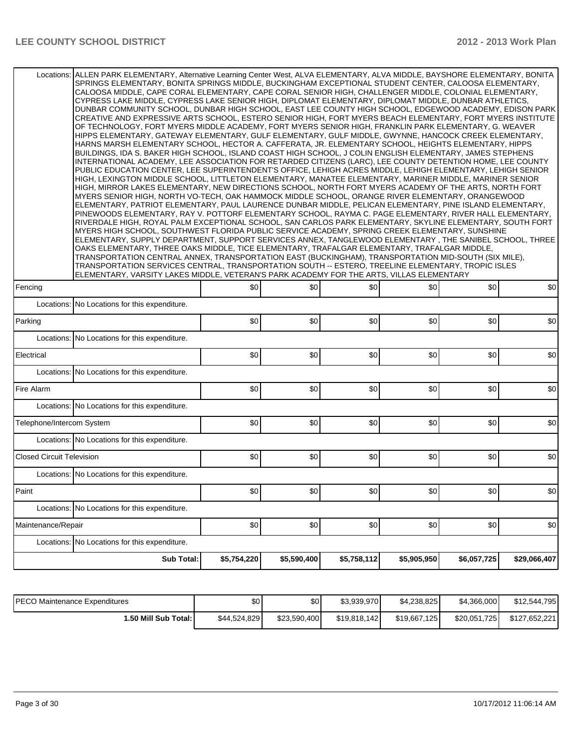| Locations: ALLEN PARK ELEMENTARY, Alternative Learning Center West, ALVA ELEMENTARY, ALVA MIDDLE, BAYSHORE ELEMENTARY, BONITA | SPRINGS ELEMENTARY, BONITA SPRINGS MIDDLE, BUCKINGHAM EXCEPTIONAL STUDENT CENTER, CALOOSA ELEMENTARY,<br>CALOOSA MIDDLE, CAPE CORAL ELEMENTARY, CAPE CORAL SENIOR HIGH, CHALLENGER MIDDLE, COLONIAL ELEMENTARY,<br>CYPRESS LAKE MIDDLE, CYPRESS LAKE SENIOR HIGH, DIPLOMAT ELEMENTARY, DIPLOMAT MIDDLE, DUNBAR ATHLETICS,<br>DUNBAR COMMUNITY SCHOOL, DUNBAR HIGH SCHOOL, EAST LEE COUNTY HIGH SCHOOL, EDGEWOOD ACADEMY, EDISON PARK<br>CREATIVE AND EXPRESSIVE ARTS SCHOOL, ESTERO SENIOR HIGH, FORT MYERS BEACH ELEMENTARY, FORT MYERS INSTITUTE<br>OF TECHNOLOGY, FORT MYERS MIDDLE ACADEMY, FORT MYERS SENIOR HIGH, FRANKLIN PARK ELEMENTARY, G. WEAVER<br>HIPPS ELEMENTARY, GATEWAY ELEMENTARY, GULF ELEMENTARY, GULF MIDDLE, GWYNNE, HANCOCK CREEK ELEMENTARY,<br>HARNS MARSH ELEMENTARY SCHOOL, HECTOR A. CAFFERATA, JR. ELEMENTARY SCHOOL, HEIGHTS ELEMENTARY, HIPPS<br>BUILDINGS, IDA S. BAKER HIGH SCHOOL, ISLAND COAST HIGH SCHOOL, J COLIN ENGLISH ELEMENTARY, JAMES STEPHENS<br>INTERNATIONAL ACADEMY, LEE ASSOCIATION FOR RETARDED CITIZENS (LARC), LEE COUNTY DETENTION HOME, LEE COUNTY<br>PUBLIC EDUCATION CENTER, LEE SUPERINTENDENT'S OFFICE, LEHIGH ACRES MIDDLE, LEHIGH ELEMENTARY, LEHIGH SENIOR<br>HIGH, LEXINGTON MIDDLE SCHOOL, LITTLETON ELEMENTARY, MANATEE ELEMENTARY, MARINER MIDDLE, MARINER SENIOR<br>HIGH, MIRROR LAKES ELEMENTARY, NEW DIRECTIONS SCHOOL, NORTH FORT MYERS ACADEMY OF THE ARTS, NORTH FORT<br>MYERS SENIOR HIGH, NORTH VO-TECH, OAK HAMMOCK MIDDLE SCHOOL, ORANGE RIVER ELEMENTARY, ORANGEWOOD<br>ELEMENTARY, PATRIOT ELEMENTARY, PAUL LAURENCE DUNBAR MIDDLE, PELICAN ELEMENTARY, PINE ISLAND ELEMENTARY,<br>PINEWOODS ELEMENTARY, RAY V. POTTORF ELEMENTARY SCHOOL, RAYMA C. PAGE ELEMENTARY, RIVER HALL ELEMENTARY,<br>RIVERDALE HIGH, ROYAL PALM EXCEPTIONAL SCHOOL, SAN CARLOS PARK ELEMENTARY, SKYLINE ELEMENTARY, SOUTH FORT<br>MYERS HIGH SCHOOL, SOUTHWEST FLORIDA PUBLIC SERVICE ACADEMY, SPRING CREEK ELEMENTARY, SUNSHINE<br>ELEMENTARY, SUPPLY DEPARTMENT, SUPPORT SERVICES ANNEX, TANGLEWOOD ELEMENTARY, THE SANIBEL SCHOOL, THREE<br>OAKS ELEMENTARY, THREE OAKS MIDDLE, TICE ELEMENTARY, TRAFALGAR ELEMENTARY, TRAFALGAR MIDDLE,<br>TRANSPORTATION CENTRAL ANNEX, TRANSPORTATION EAST (BUCKINGHAM), TRANSPORTATION MID-SOUTH (SIX MILE),<br>TRANSPORTATION SERVICES CENTRAL, TRANSPORTATION SOUTH -- ESTERO, TREELINE ELEMENTARY, TROPIC ISLES<br>ELEMENTARY, VARSITY LAKES MIDDLE, VETERAN'S PARK ACADEMY FOR THE ARTS, VILLAS ELEMENTARY |      |      |      |      |     |  |  |  |  |
|-------------------------------------------------------------------------------------------------------------------------------|-------------------------------------------------------------------------------------------------------------------------------------------------------------------------------------------------------------------------------------------------------------------------------------------------------------------------------------------------------------------------------------------------------------------------------------------------------------------------------------------------------------------------------------------------------------------------------------------------------------------------------------------------------------------------------------------------------------------------------------------------------------------------------------------------------------------------------------------------------------------------------------------------------------------------------------------------------------------------------------------------------------------------------------------------------------------------------------------------------------------------------------------------------------------------------------------------------------------------------------------------------------------------------------------------------------------------------------------------------------------------------------------------------------------------------------------------------------------------------------------------------------------------------------------------------------------------------------------------------------------------------------------------------------------------------------------------------------------------------------------------------------------------------------------------------------------------------------------------------------------------------------------------------------------------------------------------------------------------------------------------------------------------------------------------------------------------------------------------------------------------------------------------------------------------------------------------------------------------------------------------------------------------------------------------------------------------------------------------------------------------------------------------------------------------------------------------------------------------------------------------------------|------|------|------|------|-----|--|--|--|--|
| Fencing                                                                                                                       | \$0                                                                                                                                                                                                                                                                                                                                                                                                                                                                                                                                                                                                                                                                                                                                                                                                                                                                                                                                                                                                                                                                                                                                                                                                                                                                                                                                                                                                                                                                                                                                                                                                                                                                                                                                                                                                                                                                                                                                                                                                                                                                                                                                                                                                                                                                                                                                                                                                                                                                                                         | 30   | \$0  | \$0  | \$0  | \$0 |  |  |  |  |
| Locations: No Locations for this expenditure.                                                                                 |                                                                                                                                                                                                                                                                                                                                                                                                                                                                                                                                                                                                                                                                                                                                                                                                                                                                                                                                                                                                                                                                                                                                                                                                                                                                                                                                                                                                                                                                                                                                                                                                                                                                                                                                                                                                                                                                                                                                                                                                                                                                                                                                                                                                                                                                                                                                                                                                                                                                                                             |      |      |      |      |     |  |  |  |  |
| Parking                                                                                                                       | \$0                                                                                                                                                                                                                                                                                                                                                                                                                                                                                                                                                                                                                                                                                                                                                                                                                                                                                                                                                                                                                                                                                                                                                                                                                                                                                                                                                                                                                                                                                                                                                                                                                                                                                                                                                                                                                                                                                                                                                                                                                                                                                                                                                                                                                                                                                                                                                                                                                                                                                                         | \$0  | \$0  | \$0  | \$0  | \$0 |  |  |  |  |
| Locations: No Locations for this expenditure.                                                                                 |                                                                                                                                                                                                                                                                                                                                                                                                                                                                                                                                                                                                                                                                                                                                                                                                                                                                                                                                                                                                                                                                                                                                                                                                                                                                                                                                                                                                                                                                                                                                                                                                                                                                                                                                                                                                                                                                                                                                                                                                                                                                                                                                                                                                                                                                                                                                                                                                                                                                                                             |      |      |      |      |     |  |  |  |  |
| Electrical                                                                                                                    | \$0                                                                                                                                                                                                                                                                                                                                                                                                                                                                                                                                                                                                                                                                                                                                                                                                                                                                                                                                                                                                                                                                                                                                                                                                                                                                                                                                                                                                                                                                                                                                                                                                                                                                                                                                                                                                                                                                                                                                                                                                                                                                                                                                                                                                                                                                                                                                                                                                                                                                                                         | \$0  | \$0  | \$0  | \$0  | \$0 |  |  |  |  |
| Locations: No Locations for this expenditure.                                                                                 |                                                                                                                                                                                                                                                                                                                                                                                                                                                                                                                                                                                                                                                                                                                                                                                                                                                                                                                                                                                                                                                                                                                                                                                                                                                                                                                                                                                                                                                                                                                                                                                                                                                                                                                                                                                                                                                                                                                                                                                                                                                                                                                                                                                                                                                                                                                                                                                                                                                                                                             |      |      |      |      |     |  |  |  |  |
| Fire Alarm                                                                                                                    | \$0                                                                                                                                                                                                                                                                                                                                                                                                                                                                                                                                                                                                                                                                                                                                                                                                                                                                                                                                                                                                                                                                                                                                                                                                                                                                                                                                                                                                                                                                                                                                                                                                                                                                                                                                                                                                                                                                                                                                                                                                                                                                                                                                                                                                                                                                                                                                                                                                                                                                                                         | \$0  | \$0  | \$0  | \$0  | \$0 |  |  |  |  |
| Locations: No Locations for this expenditure.                                                                                 |                                                                                                                                                                                                                                                                                                                                                                                                                                                                                                                                                                                                                                                                                                                                                                                                                                                                                                                                                                                                                                                                                                                                                                                                                                                                                                                                                                                                                                                                                                                                                                                                                                                                                                                                                                                                                                                                                                                                                                                                                                                                                                                                                                                                                                                                                                                                                                                                                                                                                                             |      |      |      |      |     |  |  |  |  |
| Telephone/Intercom System                                                                                                     | \$0                                                                                                                                                                                                                                                                                                                                                                                                                                                                                                                                                                                                                                                                                                                                                                                                                                                                                                                                                                                                                                                                                                                                                                                                                                                                                                                                                                                                                                                                                                                                                                                                                                                                                                                                                                                                                                                                                                                                                                                                                                                                                                                                                                                                                                                                                                                                                                                                                                                                                                         | \$0  | \$0  | \$0  | \$0  | \$0 |  |  |  |  |
| Locations: No Locations for this expenditure.                                                                                 |                                                                                                                                                                                                                                                                                                                                                                                                                                                                                                                                                                                                                                                                                                                                                                                                                                                                                                                                                                                                                                                                                                                                                                                                                                                                                                                                                                                                                                                                                                                                                                                                                                                                                                                                                                                                                                                                                                                                                                                                                                                                                                                                                                                                                                                                                                                                                                                                                                                                                                             |      |      |      |      |     |  |  |  |  |
| <b>Closed Circuit Television</b>                                                                                              | \$0                                                                                                                                                                                                                                                                                                                                                                                                                                                                                                                                                                                                                                                                                                                                                                                                                                                                                                                                                                                                                                                                                                                                                                                                                                                                                                                                                                                                                                                                                                                                                                                                                                                                                                                                                                                                                                                                                                                                                                                                                                                                                                                                                                                                                                                                                                                                                                                                                                                                                                         | \$0  | \$0  | \$0  | \$0  | \$0 |  |  |  |  |
| Locations: No Locations for this expenditure.                                                                                 |                                                                                                                                                                                                                                                                                                                                                                                                                                                                                                                                                                                                                                                                                                                                                                                                                                                                                                                                                                                                                                                                                                                                                                                                                                                                                                                                                                                                                                                                                                                                                                                                                                                                                                                                                                                                                                                                                                                                                                                                                                                                                                                                                                                                                                                                                                                                                                                                                                                                                                             |      |      |      |      |     |  |  |  |  |
| Paint                                                                                                                         | \$0]                                                                                                                                                                                                                                                                                                                                                                                                                                                                                                                                                                                                                                                                                                                                                                                                                                                                                                                                                                                                                                                                                                                                                                                                                                                                                                                                                                                                                                                                                                                                                                                                                                                                                                                                                                                                                                                                                                                                                                                                                                                                                                                                                                                                                                                                                                                                                                                                                                                                                                        | \$0] | \$0] | \$0] | \$0] | \$0 |  |  |  |  |
| Locations: No Locations for this expenditure.                                                                                 |                                                                                                                                                                                                                                                                                                                                                                                                                                                                                                                                                                                                                                                                                                                                                                                                                                                                                                                                                                                                                                                                                                                                                                                                                                                                                                                                                                                                                                                                                                                                                                                                                                                                                                                                                                                                                                                                                                                                                                                                                                                                                                                                                                                                                                                                                                                                                                                                                                                                                                             |      |      |      |      |     |  |  |  |  |
|                                                                                                                               |                                                                                                                                                                                                                                                                                                                                                                                                                                                                                                                                                                                                                                                                                                                                                                                                                                                                                                                                                                                                                                                                                                                                                                                                                                                                                                                                                                                                                                                                                                                                                                                                                                                                                                                                                                                                                                                                                                                                                                                                                                                                                                                                                                                                                                                                                                                                                                                                                                                                                                             |      |      |      |      |     |  |  |  |  |
| Maintenance/Repair                                                                                                            | \$0                                                                                                                                                                                                                                                                                                                                                                                                                                                                                                                                                                                                                                                                                                                                                                                                                                                                                                                                                                                                                                                                                                                                                                                                                                                                                                                                                                                                                                                                                                                                                                                                                                                                                                                                                                                                                                                                                                                                                                                                                                                                                                                                                                                                                                                                                                                                                                                                                                                                                                         | \$0  | \$0  | \$0] | \$0  | \$0 |  |  |  |  |
| Locations: No Locations for this expenditure.                                                                                 |                                                                                                                                                                                                                                                                                                                                                                                                                                                                                                                                                                                                                                                                                                                                                                                                                                                                                                                                                                                                                                                                                                                                                                                                                                                                                                                                                                                                                                                                                                                                                                                                                                                                                                                                                                                                                                                                                                                                                                                                                                                                                                                                                                                                                                                                                                                                                                                                                                                                                                             |      |      |      |      |     |  |  |  |  |

| <b>IPECO Maintenance Expenditures</b> | \$0 <sub>1</sub> | \$0          | \$3,939,970  | \$4.238.825  | \$4,366,000  | \$12,544,795  |
|---------------------------------------|------------------|--------------|--------------|--------------|--------------|---------------|
| 1.50 Mill Sub Total: I                | \$44,524,829     | \$23.590.400 | \$19,818,142 | \$19,667,125 | \$20,051,725 | \$127.652.221 |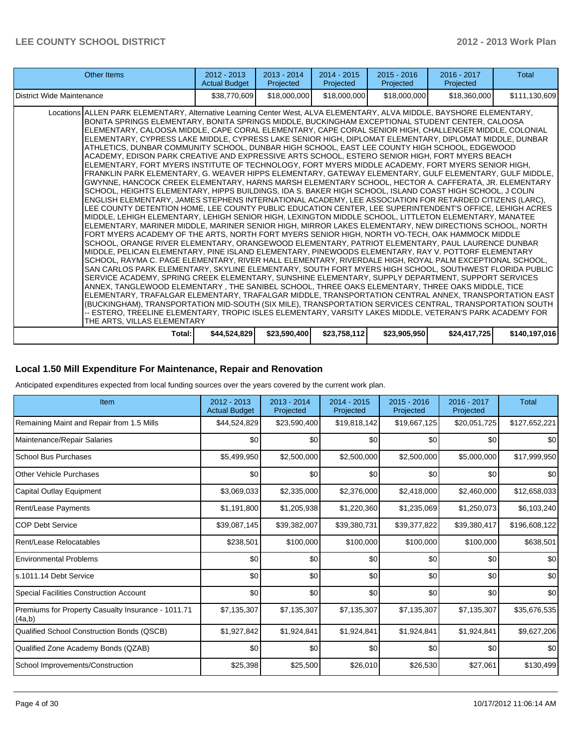| <b>Other Items</b>                                                                                                                                                                                                                                                                                                                                                                                                                                                                                                                                                                                                                                                                                                                                                                                                                                                                                                                                                                                                                                                                                                                                                                                                                                                                                                                                                                                                                                                                                                                                                                                                                                                                                                                                                                                                                                                                                                                                                                                                                                                                                                                                                                                                                                                                                                                                                                                                                                                                                                                                                                                                                             | $2012 - 2013$<br><b>Actual Budget</b> | $2013 - 2014$<br>Projected | $2014 - 2015$<br>Projected | $2015 - 2016$<br>Projected | 2016 - 2017<br>Projected | <b>Total</b>  |
|------------------------------------------------------------------------------------------------------------------------------------------------------------------------------------------------------------------------------------------------------------------------------------------------------------------------------------------------------------------------------------------------------------------------------------------------------------------------------------------------------------------------------------------------------------------------------------------------------------------------------------------------------------------------------------------------------------------------------------------------------------------------------------------------------------------------------------------------------------------------------------------------------------------------------------------------------------------------------------------------------------------------------------------------------------------------------------------------------------------------------------------------------------------------------------------------------------------------------------------------------------------------------------------------------------------------------------------------------------------------------------------------------------------------------------------------------------------------------------------------------------------------------------------------------------------------------------------------------------------------------------------------------------------------------------------------------------------------------------------------------------------------------------------------------------------------------------------------------------------------------------------------------------------------------------------------------------------------------------------------------------------------------------------------------------------------------------------------------------------------------------------------------------------------------------------------------------------------------------------------------------------------------------------------------------------------------------------------------------------------------------------------------------------------------------------------------------------------------------------------------------------------------------------------------------------------------------------------------------------------------------------------|---------------------------------------|----------------------------|----------------------------|----------------------------|--------------------------|---------------|
| District Wide Maintenance                                                                                                                                                                                                                                                                                                                                                                                                                                                                                                                                                                                                                                                                                                                                                                                                                                                                                                                                                                                                                                                                                                                                                                                                                                                                                                                                                                                                                                                                                                                                                                                                                                                                                                                                                                                                                                                                                                                                                                                                                                                                                                                                                                                                                                                                                                                                                                                                                                                                                                                                                                                                                      | \$38,770,609                          | \$18,000,000               | \$18,000,000               | \$18,000,000               | \$18,360,000             | \$111,130,609 |
| Locations ALLEN PARK ELEMENTARY, Alternative Learning Center West, ALVA ELEMENTARY, ALVA MIDDLE, BAYSHORE ELEMENTARY,<br>BONITA SPRINGS ELEMENTARY, BONITA SPRINGS MIDDLE, BUCKINGHAM EXCEPTIONAL STUDENT CENTER, CALOOSA<br>ELEMENTARY, CALOOSA MIDDLE, CAPE CORAL ELEMENTARY, CAPE CORAL SENIOR HIGH, CHALLENGER MIDDLE, COLONIAL<br>ELEMENTARY, CYPRESS LAKE MIDDLE, CYPRESS LAKE SENIOR HIGH, DIPLOMAT ELEMENTARY, DIPLOMAT MIDDLE, DUNBAR<br>ATHLETICS, DUNBAR COMMUNITY SCHOOL, DUNBAR HIGH SCHOOL, EAST LEE COUNTY HIGH SCHOOL, EDGEWOOD<br>ACADEMY, EDISON PARK CREATIVE AND EXPRESSIVE ARTS SCHOOL, ESTERO SENIOR HIGH, FORT MYERS BEACH<br>ELEMENTARY, FORT MYERS INSTITUTE OF TECHNOLOGY, FORT MYERS MIDDLE ACADEMY, FORT MYERS SENIOR HIGH,<br>FRANKLIN PARK ELEMENTARY. G. WEAVER HIPPS ELEMENTARY. GATEWAY ELEMENTARY. GULF ELEMENTARY. GULF MIDDLE.<br>GWYNNE, HANCOCK CREEK ELEMENTARY, HARNS MARSH ELEMENTARY SCHOOL, HECTOR A. CAFFERATA, JR. ELEMENTARY<br>SCHOOL, HEIGHTS ELEMENTARY, HIPPS BUILDINGS, IDA S. BAKER HIGH SCHOOL, ISLAND COAST HIGH SCHOOL, J COLIN<br>ENGLISH ELEMENTARY, JAMES STEPHENS INTERNATIONAL ACADEMY, LEE ASSOCIATION FOR RETARDED CITIZENS (LARC),<br>LEE COUNTY DETENTION HOME, LEE COUNTY PUBLIC EDUCATION CENTER, LEE SUPERINTENDENT'S OFFICE, LEHIGH ACRES<br>MIDDLE. LEHIGH ELEMENTARY. LEHIGH SENIOR HIGH. LEXINGTON MIDDLE SCHOOL. LITTLETON ELEMENTARY. MANATEE<br>ELEMENTARY. MARINER MIDDLE. MARINER SENIOR HIGH. MIRROR LAKES ELEMENTARY. NEW DIRECTIONS SCHOOL. NORTH<br>FORT MYERS ACADEMY OF THE ARTS, NORTH FORT MYERS SENIOR HIGH, NORTH VO-TECH, OAK HAMMOCK MIDDLE<br>SCHOOL, ORANGE RIVER ELEMENTARY, ORANGEWOOD ELEMENTARY, PATRIOT ELEMENTARY, PAUL LAURENCE DUNBAR<br>MIDDLE, PELICAN ELEMENTARY, PINE ISLAND ELEMENTARY, PINEWOODS ELEMENTARY, RAY V. POTTORF ELEMENTARY<br>SCHOOL, RAYMA C. PAGE ELEMENTARY, RIVER HALL ELEMENTARY, RIVERDALE HIGH, ROYAL PALM EXCEPTIONAL SCHOOL,<br>SAN CARLOS PARK ELEMENTARY, SKYLINE ELEMENTARY, SOUTH FORT MYERS HIGH SCHOOL, SOUTHWEST FLORIDA PUBLIC<br>SERVICE ACADEMY, SPRING CREEK ELEMENTARY, SUNSHINE ELEMENTARY, SUPPLY DEPARTMENT, SUPPORT SERVICES<br>ANNEX, TANGLEWOOD ELEMENTARY, THE SANIBEL SCHOOL, THREE OAKS ELEMENTARY, THREE OAKS MIDDLE, TICE<br>ELEMENTARY, TRAFALGAR ELEMENTARY, TRAFALGAR MIDDLE, TRANSPORTATION CENTRAL ANNEX, TRANSPORTATION EAST<br>(BUCKINGHAM), TRANSPORTATION MID-SOUTH (SIX MILE), TRANSPORTATION SERVICES CENTRAL, TRANSPORTATION SOUTH<br>-- ESTERO. TREELINE ELEMENTARY. TROPIC ISLES ELEMENTARY. VARSITY LAKES MIDDLE. VETERAN'S PARK ACADEMY FOR<br>THE ARTS. VILLAS ELEMENTARY |                                       |                            |                            |                            |                          |               |
| Total: I                                                                                                                                                                                                                                                                                                                                                                                                                                                                                                                                                                                                                                                                                                                                                                                                                                                                                                                                                                                                                                                                                                                                                                                                                                                                                                                                                                                                                                                                                                                                                                                                                                                                                                                                                                                                                                                                                                                                                                                                                                                                                                                                                                                                                                                                                                                                                                                                                                                                                                                                                                                                                                       | \$44,524,829                          | \$23,590,400               | \$23,758,112]              | \$23,905,950               | \$24,417,725             | \$140,197,016 |

#### **Local 1.50 Mill Expenditure For Maintenance, Repair and Renovation**

Anticipated expenditures expected from local funding sources over the years covered by the current work plan.

| Item                                                         | 2012 - 2013<br><b>Actual Budget</b> | 2013 - 2014<br>Projected | $2014 - 2015$<br>Projected | $2015 - 2016$<br>Projected | 2016 - 2017<br>Projected | <b>Total</b>  |
|--------------------------------------------------------------|-------------------------------------|--------------------------|----------------------------|----------------------------|--------------------------|---------------|
| Remaining Maint and Repair from 1.5 Mills                    | \$44,524,829                        | \$23,590,400             | \$19,818,142               | \$19,667,125               | \$20,051,725             | \$127,652,221 |
| Maintenance/Repair Salaries                                  | \$0                                 | \$0                      | \$0                        | \$0                        | \$0                      | \$0           |
| School Bus Purchases                                         | \$5,499,950                         | \$2,500,000              | \$2,500,000                | \$2,500,000                | \$5,000,000              | \$17,999,950  |
| <b>Other Vehicle Purchases</b>                               | \$0                                 | \$0                      | \$0                        | \$0                        | \$0 <sub>1</sub>         | \$0           |
| Capital Outlay Equipment                                     | \$3,069,033                         | \$2,335,000              | \$2,376,000                | \$2,418,000                | \$2,460,000              | \$12,658,033  |
| <b>Rent/Lease Payments</b>                                   | \$1,191,800                         | \$1,205,938              | \$1,220,360                | \$1,235,069                | \$1,250,073              | \$6,103,240   |
| <b>COP Debt Service</b>                                      | \$39,087,145                        | \$39,382,007             | \$39,380,731               | \$39,377,822               | \$39,380,417             | \$196,608,122 |
| Rent/Lease Relocatables                                      | \$238,501                           | \$100,000                | \$100,000                  | \$100,000                  | \$100,000                | \$638,501     |
| <b>Environmental Problems</b>                                | \$0                                 | \$0                      | \$0                        | \$0                        | \$0                      | \$0           |
| s.1011.14 Debt Service                                       | \$0                                 | \$0                      | \$0                        | \$0                        | \$0                      | \$0           |
| <b>Special Facilities Construction Account</b>               | \$0                                 | \$0                      | \$0                        | \$0                        | \$0                      | \$0           |
| Premiums for Property Casualty Insurance - 1011.71<br>(4a,b) | \$7,135,307                         | \$7,135,307              | \$7,135,307                | \$7,135,307                | \$7,135,307              | \$35,676,535  |
| Qualified School Construction Bonds (QSCB)                   | \$1,927,842                         | \$1,924,841              | \$1,924,841                | \$1,924,841                | \$1,924,841              | \$9,627,206   |
| Qualified Zone Academy Bonds (QZAB)                          | \$0                                 | \$0                      | \$0                        | \$0                        | \$0                      | \$0           |
| School Improvements/Construction                             | \$25,398                            | \$25,500                 | \$26,010                   | \$26,530                   | \$27,061                 | \$130,499     |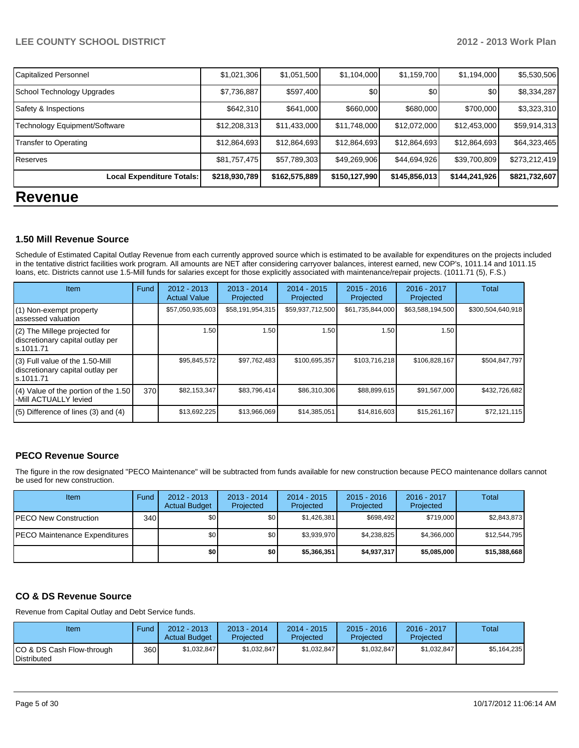| <b>Revenue</b>                |               |               |               |               |               |               |
|-------------------------------|---------------|---------------|---------------|---------------|---------------|---------------|
| Local Expenditure Totals:     | \$218,930,789 | \$162,575,889 | \$150,127,990 | \$145,856,013 | \$144,241,926 | \$821,732,607 |
| Reserves                      | \$81,757,475  | \$57,789,303  | \$49,269,906  | \$44,694,926  | \$39,700,809  | \$273,212,419 |
| Transfer to Operating         | \$12,864,693  | \$12,864,693  | \$12,864,693  | \$12,864,693  | \$12,864,693  | \$64,323,465  |
| Technology Equipment/Software | \$12,208,313  | \$11,433,000  | \$11,748,000  | \$12,072,000  | \$12,453,000  | \$59,914,313  |
| Safety & Inspections          | \$642,310     | \$641,000     | \$660,000     | \$680,000     | \$700,000     | \$3,323,310   |
| School Technology Upgrades    | \$7,736,887   | \$597,400     | \$0           | \$0           | \$0           | \$8,334,287   |
| <b>Capitalized Personnel</b>  | \$1,021,306   | \$1,051,500   | \$1,104,000   | \$1,159,700   | \$1,194,000   | \$5,530,506   |

#### **1.50 Mill Revenue Source**

Schedule of Estimated Capital Outlay Revenue from each currently approved source which is estimated to be available for expenditures on the projects included in the tentative district facilities work program. All amounts are NET after considering carryover balances, interest earned, new COP's, 1011.14 and 1011.15 loans, etc. Districts cannot use 1.5-Mill funds for salaries except for those explicitly associated with maintenance/repair projects. (1011.71 (5), F.S.)

| Item                                                                              | Fund | $2012 - 2013$<br><b>Actual Value</b> | $2013 - 2014$<br>Projected | $2014 - 2015$<br>Projected | $2015 - 2016$<br>Projected | 2016 - 2017<br>Projected | Total             |
|-----------------------------------------------------------------------------------|------|--------------------------------------|----------------------------|----------------------------|----------------------------|--------------------------|-------------------|
| (1) Non-exempt property<br>assessed valuation                                     |      | \$57,050,935,603                     | \$58,191,954,315           | \$59,937,712,500           | \$61,735,844,000           | \$63,588,194,500         | \$300,504,640,918 |
| (2) The Millege projected for<br>discretionary capital outlay per<br>ls.1011.71   |      | 1.50                                 | 1.50 l                     | 1.50                       | 1.50                       | 1.50                     |                   |
| (3) Full value of the 1.50-Mill<br>discretionary capital outlay per<br>ls.1011.71 |      | \$95,845,572                         | \$97,762,483               | \$100,695,357              | \$103,716,218              | \$106,828,167            | \$504,847,797     |
| $(4)$ Value of the portion of the 1.50<br>-Mill ACTUALLY levied                   | 370  | \$82,153,347                         | \$83,796,414               | \$86,310,306               | \$88,899,615               | \$91,567,000             | \$432,726,682     |
| $(5)$ Difference of lines (3) and (4)                                             |      | \$13,692,225                         | \$13,966,069               | \$14,385,051               | \$14,816,603               | \$15,261,167             | \$72,121,115      |

#### **PECO Revenue Source**

The figure in the row designated "PECO Maintenance" will be subtracted from funds available for new construction because PECO maintenance dollars cannot be used for new construction.

| <b>Item</b>                           | Fund | $2012 - 2013$<br><b>Actual Budget</b> | $2013 - 2014$<br>Projected | $2014 - 2015$<br>Projected | $2015 - 2016$<br>Projected | $2016 - 2017$<br>Projected | Total        |
|---------------------------------------|------|---------------------------------------|----------------------------|----------------------------|----------------------------|----------------------------|--------------|
| <b>IPECO New Construction</b>         | 340  | \$0                                   | \$0 <sub>1</sub>           | \$1,426,381                | \$698.492                  | \$719,000                  | \$2,843,873  |
| <b>IPECO Maintenance Expenditures</b> |      | \$0                                   | \$0 <sub>1</sub>           | \$3.939.970                | \$4.238.825                | \$4.366,000                | \$12,544,795 |
|                                       |      | \$0 I                                 | \$0                        | \$5,366,351                | \$4,937,317                | \$5,085,000                | \$15,388,668 |

#### **CO & DS Revenue Source**

Revenue from Capital Outlay and Debt Service funds.

| Item                                            | Fund             | 2012 - 2013<br><b>Actual Budget</b> | $2013 - 2014$<br>Projected | $2014 - 2015$<br>Projected | $2015 - 2016$<br>Projected | $2016 - 2017$<br>Projected | Total       |
|-------------------------------------------------|------------------|-------------------------------------|----------------------------|----------------------------|----------------------------|----------------------------|-------------|
| CO & DS Cash Flow-through<br><b>Distributed</b> | 360 <sup>1</sup> | \$1.032.847                         | \$1.032.847                | \$1.032.847                | \$1.032.847                | \$1.032.847                | \$5.164.235 |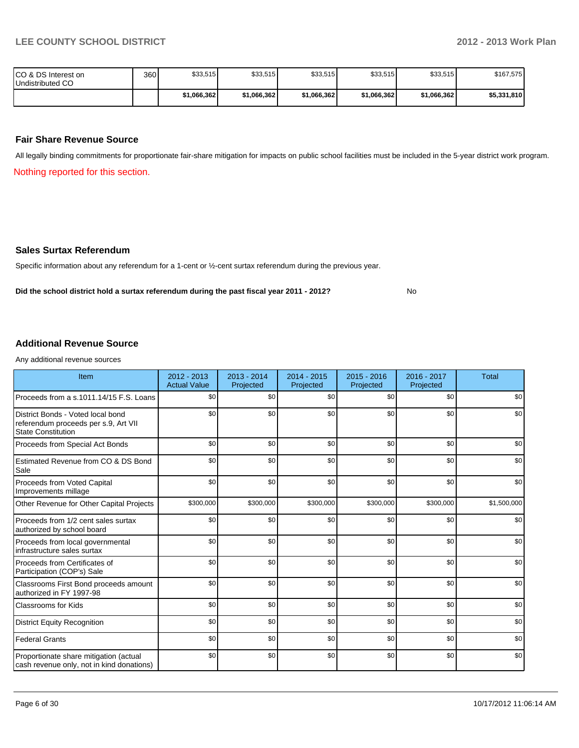No

| ICO & DS Interest on<br>Undistributed CO | 360 | \$33,515     | \$33,515    | \$33,515    | \$33,515    | \$33,515    | \$167,575   |
|------------------------------------------|-----|--------------|-------------|-------------|-------------|-------------|-------------|
|                                          |     | \$1.066.3621 | \$1,066,362 | \$1.066.362 | \$1.066.362 | \$1.066.362 | \$5,331,810 |

#### **Fair Share Revenue Source**

All legally binding commitments for proportionate fair-share mitigation for impacts on public school facilities must be included in the 5-year district work program.

Nothing reported for this section.

#### **Sales Surtax Referendum**

Specific information about any referendum for a 1-cent or ½-cent surtax referendum during the previous year.

**Did the school district hold a surtax referendum during the past fiscal year 2011 - 2012?**

#### **Additional Revenue Source**

Any additional revenue sources

| Item                                                                                                   | $2012 - 2013$<br><b>Actual Value</b> | $2013 - 2014$<br>Projected | 2014 - 2015<br>Projected | 2015 - 2016<br>Projected | 2016 - 2017<br>Projected | <b>Total</b> |
|--------------------------------------------------------------------------------------------------------|--------------------------------------|----------------------------|--------------------------|--------------------------|--------------------------|--------------|
| Proceeds from a s.1011.14/15 F.S. Loans                                                                | \$0                                  | \$0                        | \$0                      | \$0                      | \$0                      | \$0          |
| District Bonds - Voted local bond<br>referendum proceeds per s.9, Art VII<br><b>State Constitution</b> | \$0                                  | \$0                        | \$0                      | \$0                      | \$0                      | \$0          |
| Proceeds from Special Act Bonds                                                                        | \$0                                  | \$0                        | \$0                      | \$0                      | \$0                      | \$0          |
| Estimated Revenue from CO & DS Bond<br>Sale                                                            | \$0                                  | \$0                        | \$0                      | \$0                      | \$0                      | \$0          |
| Proceeds from Voted Capital<br>Improvements millage                                                    | \$0                                  | \$0                        | \$0                      | \$0                      | \$0                      | \$0          |
| Other Revenue for Other Capital Projects                                                               | \$300,000                            | \$300,000                  | \$300,000                | \$300,000                | \$300,000                | \$1,500,000  |
| Proceeds from 1/2 cent sales surtax<br>authorized by school board                                      | \$0                                  | \$0                        | \$0                      | \$0                      | \$0                      | \$0          |
| Proceeds from local governmental<br>infrastructure sales surtax                                        | \$0                                  | \$0                        | \$0                      | \$0                      | \$0                      | \$0          |
| Proceeds from Certificates of<br>Participation (COP's) Sale                                            | \$0                                  | \$0                        | \$0                      | \$0                      | \$0                      | \$0          |
| Classrooms First Bond proceeds amount<br>authorized in FY 1997-98                                      | \$0                                  | \$0                        | \$0                      | \$0                      | \$0                      | \$0          |
| <b>Classrooms for Kids</b>                                                                             | \$0                                  | \$0                        | \$0                      | \$0                      | \$0                      | \$0          |
| <b>District Equity Recognition</b>                                                                     | \$0                                  | \$0                        | \$0                      | \$0                      | \$0                      | \$0          |
| <b>Federal Grants</b>                                                                                  | \$0                                  | \$0                        | \$0                      | \$0                      | \$0                      | \$0          |
| Proportionate share mitigation (actual<br>cash revenue only, not in kind donations)                    | \$0                                  | \$0                        | \$0                      | \$0                      | \$0                      | \$0          |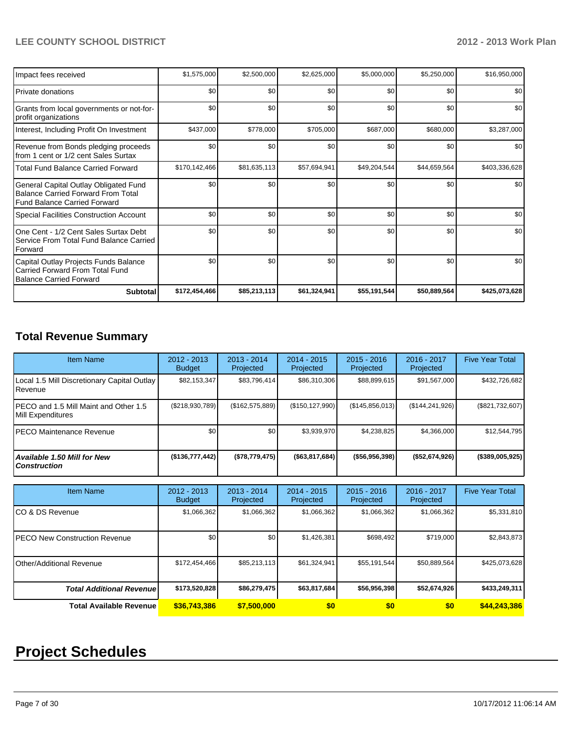| Impact fees received                                                                                                      | \$1,575,000   | \$2,500,000  | \$2,625,000  | \$5,000,000  | \$5,250,000  | \$16,950,000  |
|---------------------------------------------------------------------------------------------------------------------------|---------------|--------------|--------------|--------------|--------------|---------------|
| <b>Private donations</b>                                                                                                  | \$0           | \$0          | \$0          | \$0          | \$0          | \$0           |
| Grants from local governments or not-for-<br>profit organizations                                                         | \$0           | \$0          | \$0          | \$0          | \$0          | \$0           |
| Interest, Including Profit On Investment                                                                                  | \$437,000     | \$778,000    | \$705,000    | \$687,000    | \$680,000    | \$3,287,000   |
| Revenue from Bonds pledging proceeds<br>from 1 cent or 1/2 cent Sales Surtax                                              | \$0           | \$0          | \$0          | \$0          | \$0          | \$0           |
| <b>Total Fund Balance Carried Forward</b>                                                                                 | \$170,142,466 | \$81,635,113 | \$57,694,941 | \$49,204,544 | \$44,659,564 | \$403,336,628 |
| General Capital Outlay Obligated Fund<br><b>Balance Carried Forward From Total</b><br><b>Fund Balance Carried Forward</b> | \$0           | \$0          | \$0          | \$0          | \$0          | \$0           |
| <b>Special Facilities Construction Account</b>                                                                            | \$0           | \$0          | \$0          | \$0          | \$0          | \$0           |
| One Cent - 1/2 Cent Sales Surtax Debt<br>Service From Total Fund Balance Carried<br>Forward                               | \$0           | \$0          | \$0          | \$0          | \$0          | \$0           |
| Capital Outlay Projects Funds Balance<br>Carried Forward From Total Fund<br><b>Balance Carried Forward</b>                | \$0           | \$0          | \$0          | \$0          | \$0          | \$0           |
| <b>Subtotal</b>                                                                                                           | \$172,454,466 | \$85,213,113 | \$61,324,941 | \$55,191,544 | \$50,889,564 | \$425,073,628 |

# **Total Revenue Summary**

| <b>Item Name</b>                                           | $2012 - 2013$<br><b>Budget</b> | $2013 - 2014$<br>Projected | $2014 - 2015$<br>Projected | $2015 - 2016$<br>Projected | $2016 - 2017$<br>Projected | <b>Five Year Total</b> |
|------------------------------------------------------------|--------------------------------|----------------------------|----------------------------|----------------------------|----------------------------|------------------------|
| Local 1.5 Mill Discretionary Capital Outlay<br>Revenue     | \$82,153,347                   | \$83,796,414               | \$86,310,306               | \$88,899,615               | \$91,567,000               | \$432,726,682          |
| PECO and 1.5 Mill Maint and Other 1.5<br>Mill Expenditures | (\$218,930,789)                | (\$162,575,889)            | (\$150, 127, 990)          | (\$145,856,013)            | (\$144, 241, 926)          | (\$821,732,607)        |
| PECO Maintenance Revenue                                   | \$0                            | \$0                        | \$3,939,970                | \$4,238,825                | \$4,366,000                | \$12,544,795           |
| Available 1.50 Mill for New<br><b>Construction</b>         | (\$136,777,442)                | (\$78,779,475)             | ( \$63, 817, 684)          | ( \$56, 956, 398]          | ( \$52,674,926)            | (\$389,005,925)        |
| <b>Item Name</b>                                           | $2012 - 2013$<br><b>Budget</b> | $2013 - 2014$<br>Projected | $2014 - 2015$<br>Projected | $2015 - 2016$<br>Projected | $2016 - 2017$<br>Projected | <b>Five Year Total</b> |
| CO & DS Revenue                                            | \$1,066,362                    | \$1,066,362                | \$1,066,362                | \$1,066,362                | \$1,066,362                | \$5,331,810            |
| <b>PECO New Construction Revenue</b>                       | \$0                            | \$0                        | \$1,426,381                | \$698,492                  | \$719,000                  | \$2,843,873            |
| <b>Other/Additional Revenue</b>                            | \$172,454,466                  | \$85,213,113               | \$61,324,941               | \$55,191,544               | \$50,889,564               | \$425,073,628          |
| <b>Total Additional Revenuel</b>                           | \$173,520,828                  | \$86,279,475               | \$63,817,684               | \$56,956,398               | \$52,674,926               | \$433,249,311          |

**Total Available Revenue \$36,743,386 \$7,500,000 \$0 \$0 \$0 \$44,243,386**

# **Project Schedules**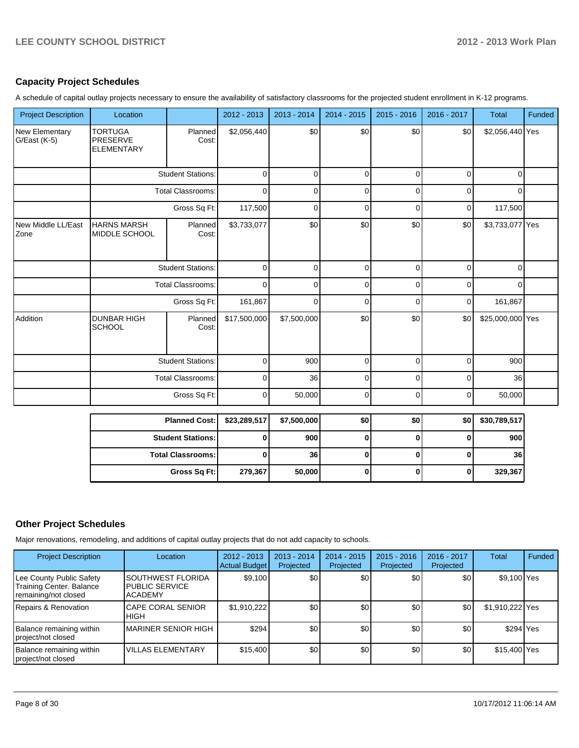### **Capacity Project Schedules**

A schedule of capital outlay projects necessary to ensure the availability of satisfactory classrooms for the projected student enrollment in K-12 programs.

| <b>Project Description</b>        | Location                                        |                          | 2012 - 2013  | 2013 - 2014 | 2014 - 2015  | $2015 - 2016$ | 2016 - 2017  | <b>Total</b>     | Funded |
|-----------------------------------|-------------------------------------------------|--------------------------|--------------|-------------|--------------|---------------|--------------|------------------|--------|
| New Elementary<br>G/East (K-5)    | <b>TORTUGA</b><br>PRESERVE<br><b>ELEMENTARY</b> | Planned<br>Cost:         | \$2,056,440  | \$0         | \$0          | \$0           | \$0          | \$2,056,440 Yes  |        |
|                                   | <b>Student Stations:</b>                        |                          | $\mathbf 0$  | $\Omega$    | $\mathbf 0$  | $\mathbf 0$   | $\mathbf 0$  | $\Omega$         |        |
|                                   |                                                 | <b>Total Classrooms:</b> | $\Omega$     | $\Omega$    | $\mathbf 0$  | $\Omega$      | $\mathbf 0$  | $\Omega$         |        |
|                                   |                                                 | Gross Sq Ft:             | 117,500      | $\mathbf 0$ | $\mathbf 0$  | $\mathbf 0$   | $\pmb{0}$    | 117,500          |        |
| New Middle LL/East<br><b>Zone</b> | <b>HARNS MARSH</b><br>MIDDLE SCHOOL             | Planned<br>Cost:         | \$3,733,077  | \$0         | \$0          | \$0           | \$0          | \$3,733,077 Yes  |        |
|                                   |                                                 | <b>Student Stations:</b> | $\mathbf 0$  | $\Omega$    | $\mathbf 0$  | $\mathbf 0$   | $\mathbf 0$  | $\Omega$         |        |
|                                   | <b>Total Classrooms:</b>                        |                          | 0            | $\mathbf 0$ | $\pmb{0}$    | $\mathbf 0$   | $\mathbf 0$  | $\mathbf 0$      |        |
|                                   |                                                 | Gross Sq Ft:             | 161,867      | 0           | $\mathbf 0$  | $\mathbf 0$   | $\mathbf 0$  | 161,867          |        |
| Addition                          | <b>DUNBAR HIGH</b><br><b>SCHOOL</b>             | Planned<br>Cost:         | \$17,500,000 | \$7,500,000 | \$0          | \$0           | \$0          | \$25,000,000 Yes |        |
|                                   |                                                 | <b>Student Stations:</b> | $\mathbf 0$  | 900         | $\pmb{0}$    | $\mathbf 0$   | $\mathbf 0$  | 900              |        |
|                                   |                                                 | <b>Total Classrooms:</b> | 0            | 36          | $\mathbf 0$  | $\mathbf 0$   | $\mathbf 0$  | 36               |        |
|                                   |                                                 | Gross Sq Ft:             | $\mathbf 0$  | 50,000      | $\mathbf 0$  | $\mathbf 0$   | $\mathbf 0$  | 50,000           |        |
|                                   |                                                 | <b>Planned Cost:</b>     | \$23,289,517 | \$7,500,000 | \$0          | \$0           | \$0          | \$30,789,517     |        |
|                                   |                                                 | <b>Student Stations:</b> | 0            | 900         | $\mathbf{0}$ | $\mathbf{0}$  | $\mathbf 0$  | 900              |        |
|                                   |                                                 | <b>Total Classrooms:</b> | 0            | 36          | $\mathbf{0}$ | $\mathbf 0$   | $\bf{0}$     | 36               |        |
|                                   |                                                 | Gross Sq Ft:             | 279,367      | 50,000      | $\mathbf{0}$ | $\mathbf{0}$  | $\mathbf{0}$ | 329,367          |        |

# **Other Project Schedules**

Major renovations, remodeling, and additions of capital outlay projects that do not add capacity to schools.

| <b>Project Description</b>                                                          | Location                                                              | $2012 - 2013$<br><b>Actual Budget</b> | $2013 - 2014$<br>Projected | $2014 - 2015$<br>Projected | $2015 - 2016$<br>Projected | 2016 - 2017<br>Projected | <b>Total</b>    | Funded |
|-------------------------------------------------------------------------------------|-----------------------------------------------------------------------|---------------------------------------|----------------------------|----------------------------|----------------------------|--------------------------|-----------------|--------|
| Lee County Public Safety<br><b>Training Center. Balance</b><br>remaining/not closed | <b>I</b> SOUTHWEST FLORIDA<br><b>PUBLIC SERVICE</b><br><b>ACADEMY</b> | \$9,100                               | \$0                        | \$0                        | \$0                        | \$0                      | \$9,100 Yes     |        |
| Repairs & Renovation                                                                | <b>ICAPE CORAL SENIOR</b><br><b>HIGH</b>                              | \$1,910,222                           | \$0 <sub>1</sub>           | \$0                        | \$0                        | \$0                      | \$1,910,222 Yes |        |
| Balance remaining within<br>project/not closed                                      | <b>IMARINER SENIOR HIGH</b>                                           | \$294                                 | \$0 <sub>0</sub>           | \$0                        | \$0                        | \$0                      | \$294 Yes       |        |
| Balance remaining within<br>project/not closed                                      | <b>VILLAS ELEMENTARY</b>                                              | \$15,400                              | \$0                        | \$0                        | \$0                        | \$0                      | \$15,400 Yes    |        |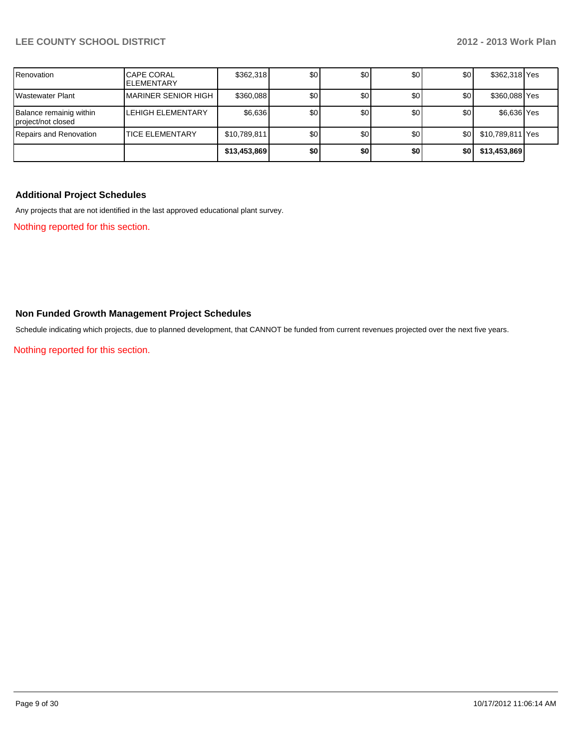| Renovation                                    | <b>CAPE CORAL</b><br><b>IELEMENTARY</b> | \$362,318    | \$0 | \$0 | \$0 | \$0 | \$362,318 Yes    |  |
|-----------------------------------------------|-----------------------------------------|--------------|-----|-----|-----|-----|------------------|--|
| <b>Wastewater Plant</b>                       | <b>IMARINER SENIOR HIGH</b>             | \$360,088    | \$0 | \$0 | \$0 | \$0 | \$360,088 Yes    |  |
| Balance remainig within<br>project/not closed | <b>LEHIGH ELEMENTARY</b>                | \$6,636      | \$0 | \$0 | \$0 | \$0 | \$6,636 Yes      |  |
| Repairs and Renovation                        | <b>ITICE ELEMENTARY</b>                 | \$10,789,811 | \$0 | \$0 | \$0 | \$0 | \$10,789,811 Yes |  |
|                                               |                                         | \$13,453,869 | \$0 | \$0 | \$0 | \$0 | \$13,453,869     |  |

### **Additional Project Schedules**

Any projects that are not identified in the last approved educational plant survey.

Nothing reported for this section.

### **Non Funded Growth Management Project Schedules**

Schedule indicating which projects, due to planned development, that CANNOT be funded from current revenues projected over the next five years.

Nothing reported for this section.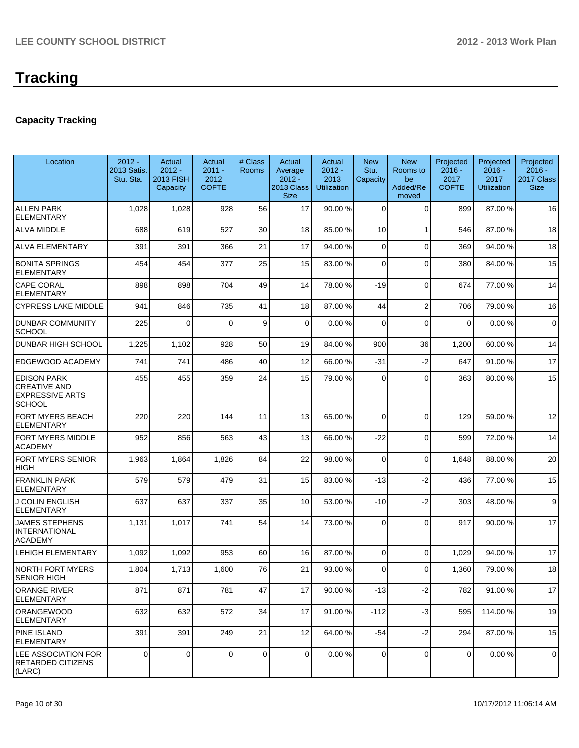# **Capacity Tracking**

| Location                                                                             | $2012 -$<br>2013 Satis.<br>Stu. Sta. | Actual<br>$2012 -$<br><b>2013 FISH</b><br>Capacity | Actual<br>$2011 -$<br>2012<br><b>COFTE</b> | # Class<br><b>Rooms</b> | Actual<br>Average<br>$2012 -$<br>2013 Class<br><b>Size</b> | Actual<br>$2012 -$<br>2013<br><b>Utilization</b> | <b>New</b><br>Stu.<br>Capacity | <b>New</b><br>Rooms to<br>be<br>Added/Re<br>moved | Projected<br>$2016 -$<br>2017<br><b>COFTE</b> | Projected<br>$2016 -$<br>2017<br><b>Utilization</b> | Projected<br>$2016 -$<br>2017 Class<br><b>Size</b> |
|--------------------------------------------------------------------------------------|--------------------------------------|----------------------------------------------------|--------------------------------------------|-------------------------|------------------------------------------------------------|--------------------------------------------------|--------------------------------|---------------------------------------------------|-----------------------------------------------|-----------------------------------------------------|----------------------------------------------------|
| <b>ALLEN PARK</b><br><b>ELEMENTARY</b>                                               | 1,028                                | 1,028                                              | 928                                        | 56                      | 17                                                         | 90.00 %                                          | $\Omega$                       | $\Omega$                                          | 899                                           | 87.00 %                                             | 16                                                 |
| <b>ALVA MIDDLE</b>                                                                   | 688                                  | 619                                                | 527                                        | 30                      | 18                                                         | 85.00 %                                          | 10                             | 1                                                 | 546                                           | 87.00 %                                             | 18                                                 |
| <b>ALVA ELEMENTARY</b>                                                               | 391                                  | 391                                                | 366                                        | 21                      | 17                                                         | 94.00 %                                          | $\mathbf 0$                    | $\Omega$                                          | 369                                           | 94.00%                                              | 18                                                 |
| <b>BONITA SPRINGS</b><br><b>ELEMENTARY</b>                                           | 454                                  | 454                                                | 377                                        | 25                      | 15                                                         | 83.00 %                                          | $\mathbf 0$                    | $\Omega$                                          | 380                                           | 84.00%                                              | 15                                                 |
| <b>CAPE CORAL</b><br><b>ELEMENTARY</b>                                               | 898                                  | 898                                                | 704                                        | 49                      | 14                                                         | 78.00 %                                          | $-19$                          | $\Omega$                                          | 674                                           | 77.00 %                                             | 14                                                 |
| <b>CYPRESS LAKE MIDDLE</b>                                                           | 941                                  | 846                                                | 735                                        | 41                      | 18                                                         | 87.00 %                                          | 44                             | $\overline{2}$                                    | 706                                           | 79.00 %                                             | 16                                                 |
| <b>DUNBAR COMMUNITY</b><br><b>SCHOOL</b>                                             | 225                                  | $\Omega$                                           | $\Omega$                                   | 9                       | 0                                                          | 0.00 %                                           | $\mathbf 0$                    | $\Omega$                                          | 0                                             | 0.00%                                               | $\mathbf 0$                                        |
| <b>DUNBAR HIGH SCHOOL</b>                                                            | 1,225                                | 1,102                                              | 928                                        | 50                      | 19                                                         | 84.00 %                                          | 900                            | 36                                                | 1,200                                         | 60.00%                                              | 14                                                 |
| <b>EDGEWOOD ACADEMY</b>                                                              | 741                                  | 741                                                | 486                                        | 40                      | 12                                                         | 66.00 %                                          | $-31$                          | $-2$                                              | 647                                           | 91.00%                                              | 17                                                 |
| <b>EDISON PARK</b><br><b>CREATIVE AND</b><br><b>EXPRESSIVE ARTS</b><br><b>SCHOOL</b> | 455                                  | 455                                                | 359                                        | 24                      | 15                                                         | 79.00 %                                          | $\Omega$                       | $\Omega$                                          | 363                                           | 80.00%                                              | 15                                                 |
| <b>FORT MYERS BEACH</b><br><b>ELEMENTARY</b>                                         | 220                                  | 220                                                | 144                                        | 11                      | 13                                                         | 65.00 %                                          | $\mathbf 0$                    | $\Omega$                                          | 129                                           | 59.00 %                                             | 12                                                 |
| FORT MYERS MIDDLE<br><b>ACADEMY</b>                                                  | 952                                  | 856                                                | 563                                        | 43                      | 13                                                         | 66.00 %                                          | $-22$                          | $\Omega$                                          | 599                                           | 72.00 %                                             | 14                                                 |
| FORT MYERS SENIOR<br><b>HIGH</b>                                                     | 1,963                                | 1,864                                              | 1,826                                      | 84                      | 22                                                         | 98.00 %                                          | $\mathbf 0$                    | $\Omega$                                          | 1,648                                         | 88.00 %                                             | 20                                                 |
| <b>FRANKLIN PARK</b><br><b>ELEMENTARY</b>                                            | 579                                  | 579                                                | 479                                        | 31                      | 15                                                         | 83.00 %                                          | $-13$                          | $-2$                                              | 436                                           | 77.00 %                                             | 15                                                 |
| <b>J COLIN ENGLISH</b><br><b>ELEMENTARY</b>                                          | 637                                  | 637                                                | 337                                        | 35                      | 10                                                         | 53.00 %                                          | $-10$                          | $-2$                                              | 303                                           | 48.00%                                              | 9                                                  |
| <b>JAMES STEPHENS</b><br><b>INTERNATIONAL</b><br><b>ACADEMY</b>                      | 1,131                                | 1,017                                              | 741                                        | 54                      | 14                                                         | 73.00 %                                          | $\Omega$                       | $\Omega$                                          | 917                                           | 90.00%                                              | 17                                                 |
| <b>LEHIGH ELEMENTARY</b>                                                             | 1,092                                | 1,092                                              | 953                                        | 60                      | 16                                                         | 87.00 %                                          | $\Omega$                       | $\Omega$                                          | 1,029                                         | 94.00%                                              | 17                                                 |
| <b>NORTH FORT MYERS</b><br>SENIOR HIGH                                               | 1,804                                | 1,713                                              | 1,600                                      | 76                      | 21                                                         | 93.00 %                                          | 0                              | $\Omega$                                          | 1,360                                         | 79.00 %                                             | 18                                                 |
| <b>ORANGE RIVER</b><br>ELEMENTARY                                                    | 871                                  | 871                                                | 781                                        | 47                      | 17                                                         | 90.00 %                                          | $-13$                          | $-2$                                              | 782                                           | 91.00%                                              | 17                                                 |
| ORANGEWOOD<br><b>ELEMENTARY</b>                                                      | 632                                  | 632                                                | 572                                        | 34                      | 17                                                         | 91.00 %                                          | $-112$                         | $-3$                                              | 595                                           | 114.00 %                                            | 19                                                 |
| <b>PINE ISLAND</b><br><b>ELEMENTARY</b>                                              | 391                                  | 391                                                | 249                                        | 21                      | 12                                                         | 64.00 %                                          | $-54$                          | $-2$                                              | 294                                           | 87.00 %                                             | 15                                                 |
| LEE ASSOCIATION FOR<br><b>RETARDED CITIZENS</b><br>(LARC)                            | 0                                    | 0                                                  | $\Omega$                                   | 0                       | 0                                                          | 0.00%                                            | 0                              | 0                                                 | 0                                             | 0.00%                                               | 0                                                  |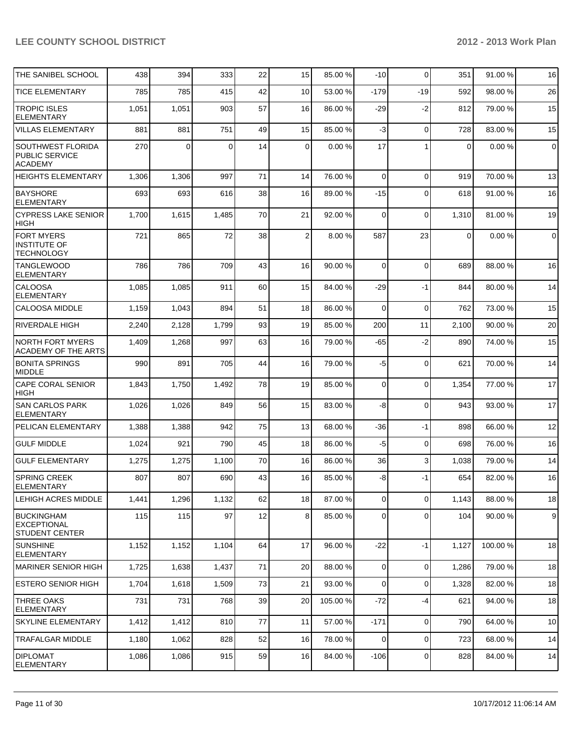| THE SANIBEL SCHOOL                                               | 438   | 394         | 333   | 22 | 15 <sup>1</sup> | 85.00 %  | $-10$          | $\Omega$       | 351            | 91.00 % | 16          |
|------------------------------------------------------------------|-------|-------------|-------|----|-----------------|----------|----------------|----------------|----------------|---------|-------------|
| <b>TICE ELEMENTARY</b>                                           | 785   | 785         | 415   | 42 | 10              | 53.00 %  | $-179$         | $-19$          | 592            | 98.00%  | 26          |
| <b>TROPIC ISLES</b><br><b>ELEMENTARY</b>                         | 1,051 | 1,051       | 903   | 57 | 16              | 86.00 %  | $-29$          | $-2$           | 812            | 79.00 % | 15          |
| <b>VILLAS ELEMENTARY</b>                                         | 881   | 881         | 751   | 49 | 15              | 85.00 %  | $-3$           | $\mathbf 0$    | 728            | 83.00 % | 15          |
| <b>SOUTHWEST FLORIDA</b><br>PUBLIC SERVICE<br><b>ACADEMY</b>     | 270   | $\mathbf 0$ | 0     | 14 | $\mathbf 0$     | 0.00%    | 17             | $\mathbf{1}$   | $\overline{0}$ | 0.00%   | $\mathbf 0$ |
| <b>HEIGHTS ELEMENTARY</b>                                        | 1,306 | 1,306       | 997   | 71 | 14              | 76.00 %  | $\Omega$       | $\Omega$       | 919            | 70.00 % | 13          |
| <b>BAYSHORE</b><br><b>ELEMENTARY</b>                             | 693   | 693         | 616   | 38 | 16              | 89.00 %  | $-15$          | $\Omega$       | 618            | 91.00%  | 16          |
| <b>CYPRESS LAKE SENIOR</b><br><b>HIGH</b>                        | 1,700 | 1,615       | 1,485 | 70 | 21              | 92.00 %  | $\Omega$       | $\mathbf 0$    | 1,310          | 81.00%  | 19          |
| <b>FORT MYERS</b><br><b>INSTITUTE OF</b><br><b>TECHNOLOGY</b>    | 721   | 865         | 72    | 38 | $\overline{2}$  | 8.00 %   | 587            | 23             | $\Omega$       | 0.00%   | $\mathbf 0$ |
| <b>TANGLEWOOD</b><br><b>ELEMENTARY</b>                           | 786   | 786         | 709   | 43 | 16              | 90.00 %  | $\Omega$       | $\mathbf 0$    | 689            | 88.00 % | 16          |
| <b>CALOOSA</b><br><b>ELEMENTARY</b>                              | 1,085 | 1,085       | 911   | 60 | 15              | 84.00 %  | $-29$          | -1             | 844            | 80.00 % | 14          |
| <b>CALOOSA MIDDLE</b>                                            | 1,159 | 1,043       | 894   | 51 | 18              | 86.00 %  | $\Omega$       | $\Omega$       | 762            | 73.00 % | 15          |
| RIVERDALE HIGH                                                   | 2,240 | 2,128       | 1,799 | 93 | 19              | 85.00 %  | 200            | 11             | 2,100          | 90.00 % | 20          |
| <b>NORTH FORT MYERS</b><br>ACADEMY OF THE ARTS                   | 1,409 | 1,268       | 997   | 63 | 16              | 79.00 %  | -65            | $-2$           | 890            | 74.00 % | 15          |
| <b>BONITA SPRINGS</b><br><b>MIDDLE</b>                           | 990   | 891         | 705   | 44 | 16              | 79.00 %  | $-5$           | $\mathbf 0$    | 621            | 70.00%  | 14          |
| <b>CAPE CORAL SENIOR</b><br><b>HIGH</b>                          | 1,843 | 1,750       | 1,492 | 78 | 19              | 85.00 %  | $\overline{0}$ | $\mathbf 0$    | 1,354          | 77.00 % | 17          |
| <b>SAN CARLOS PARK</b><br><b>ELEMENTARY</b>                      | 1,026 | 1,026       | 849   | 56 | 15              | 83.00 %  | -8             | $\Omega$       | 943            | 93.00 % | 17          |
| PELICAN ELEMENTARY                                               | 1,388 | 1,388       | 942   | 75 | 13              | 68.00 %  | -36            | -1             | 898            | 66.00 % | 12          |
| <b>GULF MIDDLE</b>                                               | 1,024 | 921         | 790   | 45 | 18              | 86.00 %  | $-5$           | $\mathbf 0$    | 698            | 76.00 % | 16          |
| <b>GULF ELEMENTARY</b>                                           | 1,275 | 1,275       | 1,100 | 70 | 16              | 86.00 %  | 36             | 3              | 1,038          | 79.00 % | 14          |
| SPRING CREEK<br><b>ELEMENTARY</b>                                | 807   | 807         | 690   | 43 | 16              | 85.00 %  | -8             | -1             | 654            | 82.00 % | 16          |
| LEHIGH ACRES MIDDLE                                              | 1,441 | 1,296       | 1,132 | 62 | 18              | 87.00 %  | $\overline{0}$ | $\overline{0}$ | 1,143          | 88.00 % | 18          |
| <b>BUCKINGHAM</b><br><b>EXCEPTIONAL</b><br><b>STUDENT CENTER</b> | 115   | 115         | 97    | 12 | 8               | 85.00 %  | $\overline{0}$ | $\mathbf 0$    | 104            | 90.00 % | 9           |
| <b>SUNSHINE</b><br><b>ELEMENTARY</b>                             | 1,152 | 1,152       | 1,104 | 64 | 17              | 96.00 %  | $-22$          | $-1$           | 1,127          | 100.00% | 18          |
| <b>MARINER SENIOR HIGH</b>                                       | 1,725 | 1,638       | 1,437 | 71 | 20              | 88.00 %  | $\overline{0}$ | $\pmb{0}$      | 1,286          | 79.00 % | 18          |
| <b>ESTERO SENIOR HIGH</b>                                        | 1,704 | 1,618       | 1,509 | 73 | 21              | 93.00 %  | $\overline{0}$ | $\mathbf 0$    | 1,328          | 82.00%  | 18          |
| <b>THREE OAKS</b><br><b>ELEMENTARY</b>                           | 731   | 731         | 768   | 39 | 20              | 105.00 % | $-72$          | $-4$           | 621            | 94.00%  | 18          |
| SKYLINE ELEMENTARY                                               | 1,412 | 1,412       | 810   | 77 | 11              | 57.00 %  | $-171$         | $\mathbf 0$    | 790            | 64.00%  | 10          |
| TRAFALGAR MIDDLE                                                 | 1,180 | 1,062       | 828   | 52 | 16              | 78.00 %  | $\overline{0}$ | $\mathbf 0$    | 723            | 68.00 % | 14          |
| <b>DIPLOMAT</b><br>ELEMENTARY                                    | 1,086 | 1,086       | 915   | 59 | 16              | 84.00 %  | $-106$         | $\mathbf 0$    | 828            | 84.00 % | 14          |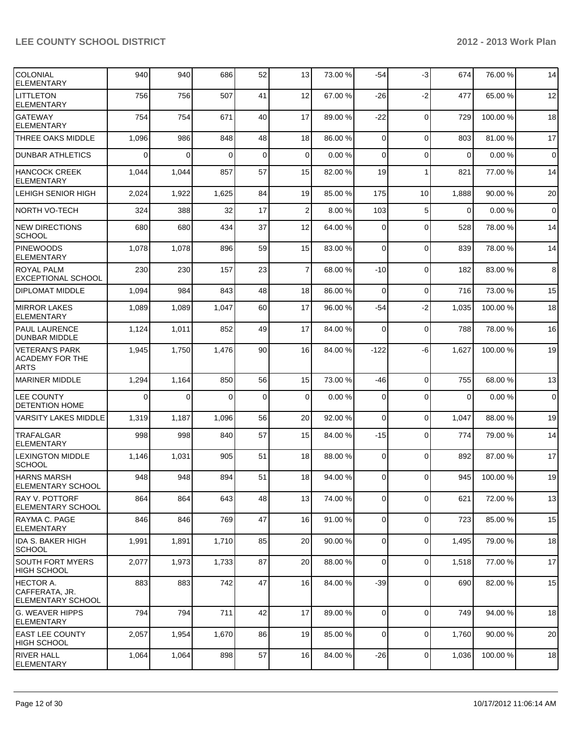| COLONIAL<br><b>ELEMENTARY</b>                            | 940      | 940      | 686      | 52       | 13              | 73.00 % | $-54$          | $-3$           | 674      | 76.00 %  | 14             |
|----------------------------------------------------------|----------|----------|----------|----------|-----------------|---------|----------------|----------------|----------|----------|----------------|
| <b>LITTLETON</b><br>ELEMENTARY                           | 756      | 756      | 507      | 41       | 12              | 67.00 % | $-26$          | -2             | 477      | 65.00 %  | 12             |
| <b>GATEWAY</b><br>ELEMENTARY                             | 754      | 754      | 671      | 40       | 17              | 89.00 % | $-22$          | 0              | 729      | 100.00%  | 18             |
| <b>THREE OAKS MIDDLE</b>                                 | 1,096    | 986      | 848      | 48       | 18 <sup>1</sup> | 86.00 % | $\Omega$       | $\Omega$       | 803      | 81.00%   | 17             |
| <b>DUNBAR ATHLETICS</b>                                  | $\Omega$ | $\Omega$ | $\Omega$ | $\Omega$ | $\overline{0}$  | 0.00%   | $\Omega$       | $\Omega$       | $\Omega$ | 0.00%    | $\mathbf 0$    |
| HANCOCK CREEK<br><b>ELEMENTARY</b>                       | 1,044    | 1,044    | 857      | 57       | 15              | 82.00 % | 19             | 1              | 821      | 77.00 %  | 14             |
| LEHIGH SENIOR HIGH                                       | 2,024    | 1,922    | 1,625    | 84       | 19              | 85.00 % | 175            | 10             | 1,888    | 90.00 %  | 20             |
| NORTH VO-TECH                                            | 324      | 388      | 32       | 17       | $\overline{2}$  | 8.00 %  | 103            | 5              | $\Omega$ | 0.00%    | $\overline{0}$ |
| NEW DIRECTIONS<br><b>SCHOOL</b>                          | 680      | 680      | 434      | 37       | 12              | 64.00 % | $\Omega$       | $\Omega$       | 528      | 78.00 %  | 14             |
| <b>PINEWOODS</b><br>ELEMENTARY                           | 1,078    | 1,078    | 896      | 59       | 15              | 83.00 % | $\Omega$       | $\Omega$       | 839      | 78.00 %  | 14             |
| <b>ROYAL PALM</b><br><b>EXCEPTIONAL SCHOOL</b>           | 230      | 230      | 157      | 23       | $\overline{7}$  | 68.00 % | $-10$          | $\mathbf 0$    | 182      | 83.00%   | 8              |
| DIPLOMAT MIDDLE                                          | 1,094    | 984      | 843      | 48       | 18              | 86.00 % | $\Omega$       | $\mathbf 0$    | 716      | 73.00 %  | 15             |
| <b>MIRROR LAKES</b><br>ELEMENTARY                        | 1,089    | 1,089    | 1,047    | 60       | 17              | 96.00 % | $-54$          | $-2$           | 1,035    | 100.00%  | 18             |
| <b>PAUL LAURENCE</b><br>DUNBAR MIDDLE                    | 1,124    | 1,011    | 852      | 49       | 17              | 84.00 % | $\Omega$       | 0              | 788      | 78.00 %  | 16             |
| IVETERAN'S PARK<br>ACADEMY FOR THE<br><b>ARTS</b>        | 1,945    | 1,750    | 1,476    | 90       | 16              | 84.00 % | -122           | -6             | 1,627    | 100.00%  | 19             |
| <b>MARINER MIDDLE</b>                                    | 1,294    | 1,164    | 850      | 56       | 15 <sup>1</sup> | 73.00 % | $-46$          | $\Omega$       | 755      | 68.00 %  | 13             |
| <b>LEE COUNTY</b><br><b>DETENTION HOME</b>               | 0        | 0        | $\Omega$ | 0        | $\overline{0}$  | 0.00%   | $\Omega$       | $\Omega$       | 0        | 0.00%    | $\overline{0}$ |
| VARSITY LAKES MIDDLE                                     | 1,319    | 1,187    | 1,096    | 56       | 20              | 92.00 % | $\Omega$       | $\mathbf 0$    | 1,047    | 88.00%   | 19             |
| <b>TRAFALGAR</b><br><b>ELEMENTARY</b>                    | 998      | 998      | 840      | 57       | 15 <sup>1</sup> | 84.00 % | $-15$          | $\Omega$       | 774      | 79.00 %  | 14             |
| <b>LEXINGTON MIDDLE</b><br><b>SCHOOL</b>                 | 1,146    | 1,031    | 905      | 51       | 18              | 88.00 % | $\overline{0}$ | 0              | 892      | 87.00 %  | 17             |
| <b>HARNS MARSH</b><br><b>ELEMENTARY SCHOOL</b>           | 948      | 948      | 894      | 51       | 18              | 94.00 % | 0              | $\Omega$       | 945      | 100.00 % | 19             |
| RAY V. POTTORF<br><b>ELEMENTARY SCHOOL</b>               | 864      | 864      | 643      | 48       | 13              | 74.00 % | $\overline{0}$ | 0              | 621      | 72.00 %  | 13             |
| <b>RAYMA C. PAGE</b><br>ELEMENTARY                       | 846      | 846      | 769      | 47       | 16              | 91.00 % | $\overline{0}$ | $\mathbf 0$    | 723      | 85.00 %  | 15             |
| IDA S. BAKER HIGH<br> SCHOOL                             | 1,991    | 1,891    | 1,710    | 85       | 20 <sub>l</sub> | 90.00 % | $\overline{0}$ | 0              | 1,495    | 79.00 %  | 18             |
| SOUTH FORT MYERS<br> HIGH SCHOOL                         | 2,077    | 1,973    | 1,733    | 87       | 20              | 88.00 % | $\mathbf 0$    | 0              | 1,518    | 77.00 %  | 17             |
| HECTOR A.<br> CAFFERATA, JR.<br><b>ELEMENTARY SCHOOL</b> | 883      | 883      | 742      | 47       | 16              | 84.00 % | $-39$          | 0              | 690      | 82.00%   | 15             |
| <b>G. WEAVER HIPPS</b><br>ELEMENTARY                     | 794      | 794      | 711      | 42       | 17              | 89.00 % | $\mathbf 0$    | $\mathbf 0$    | 749      | 94.00%   | 18             |
| <b>EAST LEE COUNTY</b><br>HIGH SCHOOL                    | 2,057    | 1,954    | 1,670    | 86       | 19              | 85.00 % | $\Omega$       | $\mathbf 0$    | 1,760    | 90.00%   | 20             |
| <b>RIVER HALL</b><br><b>ELEMENTARY</b>                   | 1,064    | 1,064    | 898      | 57       | 16              | 84.00 % | $-26$          | $\overline{0}$ | 1,036    | 100.00%  | 18             |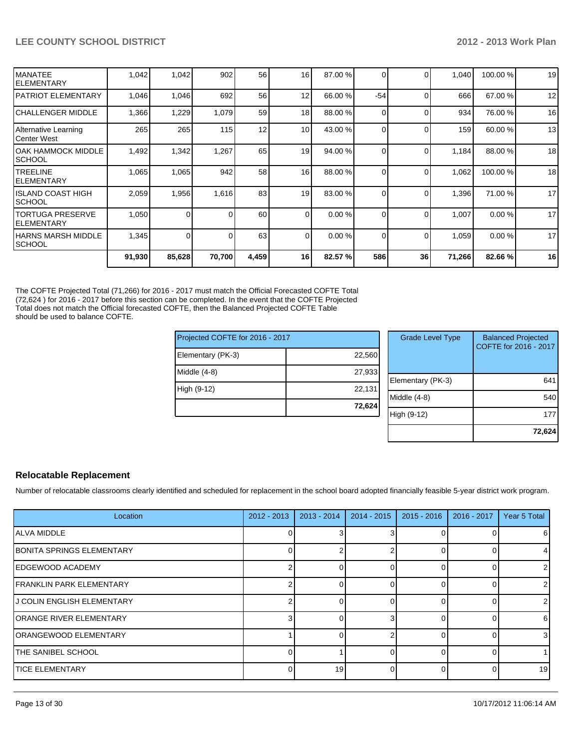|                                         | 91,930 | 85,628 | 70,700 | 4,459 | 16              | 82.57 % | 586      | 36       | 71,266 | 82.66%  | 16 |
|-----------------------------------------|--------|--------|--------|-------|-----------------|---------|----------|----------|--------|---------|----|
| IHARNS MARSH MIDDLE<br><b>SCHOOL</b>    | 1,345  | 0      |        | 63    | $\Omega$        | 0.00%   | $\Omega$ | $\Omega$ | 1,059  | 0.00%   | 17 |
| <b>ITORTUGA PRESERVE</b><br>IELEMENTARY | 1,050  | 0      |        | 60    | $\Omega$        | 0.00%   | $\Omega$ | $\Omega$ | 1,007  | 0.00%   | 17 |
| IISLAND COAST HIGH<br>ISCHOOL           | 2,059  | 1,956  | 1,616  | 83    | 19              | 83.00 % | $\Omega$ | $\Omega$ | 1,396  | 71.00 % | 17 |
| <b>ITREELINE</b><br>IELEMENTARY         | 1,065  | 1,065  | 942    | 58    | 16              | 88.00 % | $\Omega$ | $\Omega$ | 1,062  | 100.00% | 18 |
| IOAK HAMMOCK MIDDLE<br>ISCHOOL          | 1,492  | 1,342  | 1,267  | 65    | 19              | 94.00 % | $\Omega$ | 0        | 1,184  | 88.00 % | 18 |
| Alternative Learning<br>lCenter West    | 265    | 265    | 115    | 12    | 10 <sup>1</sup> | 43.00 % |          | $\Omega$ | 159    | 60.00 % | 13 |
| ICHALLENGER MIDDLE                      | 1,366  | 1,229  | 1,079  | 59    | 18              | 88.00 % |          | $\Omega$ | 934    | 76.00 % | 16 |
| IPATRIOT ELEMENTARY                     | 1,046  | 1,046  | 692    | 56    | 12              | 66.00 % | $-54$    | ∩        | 666    | 67.00 % | 12 |
| IMANATEE<br>IELEMENTARY                 | 1,042  | 1,042  | 902    | 56    | 16              | 87.00 % |          | $\Omega$ | 1,040  | 100.00% | 19 |

The COFTE Projected Total (71,266) for 2016 - 2017 must match the Official Forecasted COFTE Total (72,624 ) for 2016 - 2017 before this section can be completed. In the event that the COFTE Projected Total does not match the Official forecasted COFTE, then the Balanced Projected COFTE Table should be used to balance COFTE.

| Projected COFTE for 2016 - 2017 |        | <b>Grade Level Type</b> | <b>Balanced Projected</b><br>COFTE for 2016 - 2017 |
|---------------------------------|--------|-------------------------|----------------------------------------------------|
| Elementary (PK-3)               | 22,560 |                         |                                                    |
| Middle (4-8)                    | 27,933 |                         |                                                    |
|                                 |        | Elementary (PK-3)       | 641                                                |
| High (9-12)                     | 22.131 |                         |                                                    |
|                                 |        | Middle (4-8)            | 54 <sub>C</sub>                                    |
|                                 | 72,624 |                         |                                                    |
|                                 |        | High (9-12)             | 177                                                |
|                                 |        |                         |                                                    |

#### **Relocatable Replacement**

Number of relocatable classrooms clearly identified and scheduled for replacement in the school board adopted financially feasible 5-year district work program.

| Location                          | $2012 - 2013$ | $2013 - 2014$ | $2014 - 2015$ | $2015 - 2016$ | 2016 - 2017 | Year 5 Total    |
|-----------------------------------|---------------|---------------|---------------|---------------|-------------|-----------------|
| <b>ALVA MIDDLE</b>                |               |               |               |               |             | 6               |
| <b>IBONITA SPRINGS ELEMENTARY</b> |               |               |               |               |             | 4               |
| EDGEWOOD ACADEMY                  |               |               |               |               |             | $\overline{2}$  |
| <b>FRANKLIN PARK ELEMENTARY</b>   |               |               |               |               |             | 2               |
| IJ COLIN ENGLISH ELEMENTARY       |               |               |               |               |             |                 |
| <b>JORANGE RIVER ELEMENTARY</b>   | з             |               |               |               |             | 6               |
| ORANGEWOOD ELEMENTARY             |               |               |               |               |             | 3 <sup>l</sup>  |
| <b>ITHE SANIBEL SCHOOL</b>        |               |               |               |               |             |                 |
| <b>ITICE ELEMENTARY</b>           | $\Omega$      | 19            |               |               |             | 19 <sup>l</sup> |

**72,624**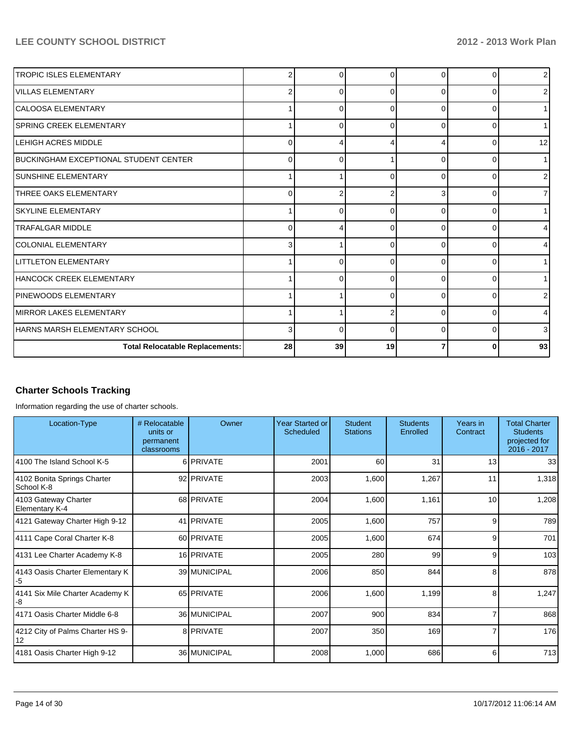| <b>Total Relocatable Replacements:</b>        | 28 | 39 | 19       |          |   | 93             |
|-----------------------------------------------|----|----|----------|----------|---|----------------|
| HARNS MARSH ELEMENTARY SCHOOL                 | 3  | O  | $\Omega$ | $\Omega$ |   | 3              |
| MIRROR LAKES ELEMENTARY                       |    |    |          | $\Omega$ |   | 4              |
| <b>IPINEWOODS ELEMENTARY</b>                  |    |    | $\Omega$ | $\Omega$ |   | 2              |
| HANCOCK CREEK ELEMENTARY                      |    | ŋ  | $\Omega$ | $\Omega$ |   |                |
| <b>ILITTLETON ELEMENTARY</b>                  |    | 0  | $\Omega$ | $\Omega$ | ∩ |                |
| COLONIAL ELEMENTARY                           | 3  |    | ∩        | $\Omega$ |   | 4              |
| <b>TRAFALGAR MIDDLE</b>                       | 0  |    | ∩        | $\Omega$ |   | 4              |
| ISKYLINE ELEMENTARY                           | 1  | O  | $\Omega$ | $\Omega$ | r |                |
| <b>ITHREE OAKS ELEMENTARY</b>                 | 0  |    |          | 3        |   | 71             |
| ISUNSHINE ELEMENTARY                          |    |    | $\Omega$ | $\Omega$ |   | 2              |
| <b>IBUCKINGHAM EXCEPTIONAL STUDENT CENTER</b> | 0  |    |          | 0        |   |                |
| <b>LEHIGH ACRES MIDDLE</b>                    | 0  |    |          |          |   | 12             |
| <b>ISPRING CREEK ELEMENTARY</b>               |    | 0  | $\Omega$ | 0        | ∩ |                |
| CALOOSA ELEMENTARY                            |    | 0  | $\Omega$ | $\Omega$ |   |                |
| VILLAS ELEMENTARY                             | 2  | 0  | $\Omega$ | $\Omega$ |   | 2              |
| <b>TROPIC ISLES ELEMENTARY</b>                | 2  | U  | $\Omega$ | $\Omega$ |   | 2 <sub>1</sub> |

# **Charter Schools Tracking**

Information regarding the use of charter schools.

| Location-Type                                 | # Relocatable<br>units or<br>permanent<br>classrooms | Owner        | Year Started or<br><b>Scheduled</b> | <b>Student</b><br><b>Stations</b> | <b>Students</b><br>Enrolled | Years in<br>Contract | <b>Total Charter</b><br><b>Students</b><br>projected for<br>2016 - 2017 |
|-----------------------------------------------|------------------------------------------------------|--------------|-------------------------------------|-----------------------------------|-----------------------------|----------------------|-------------------------------------------------------------------------|
| 4100 The Island School K-5                    |                                                      | 6 PRIVATE    | 2001                                | 60                                | 31                          | 13                   | 33                                                                      |
| 4102 Bonita Springs Charter<br>School K-8     |                                                      | 92 PRIVATE   | 2003                                | 1,600                             | 1,267                       | 11                   | 1,318                                                                   |
| 4103 Gateway Charter<br><b>Elementary K-4</b> |                                                      | 68 PRIVATE   | 2004                                | 1,600                             | 1,161                       | 10 <sup>1</sup>      | 1,208                                                                   |
| 4121 Gateway Charter High 9-12                |                                                      | 41 PRIVATE   | 2005                                | 1,600                             | 757                         | 9                    | 789                                                                     |
| 4111 Cape Coral Charter K-8                   |                                                      | 60 PRIVATE   | 2005                                | 1,600                             | 674                         | 9                    | 701                                                                     |
| 4131 Lee Charter Academy K-8                  |                                                      | 16 PRIVATE   | 2005                                | 280                               | 99                          | 9                    | 103                                                                     |
| 4143 Oasis Charter Elementary K<br>-5         |                                                      | 39 MUNICIPAL | 2006                                | 850                               | 844                         | 8                    | 878                                                                     |
| 4141 Six Mile Charter Academy K<br>-8         |                                                      | 65 PRIVATE   | 2006                                | 1,600                             | 1,199                       | 8                    | 1,247                                                                   |
| 4171 Oasis Charter Middle 6-8                 |                                                      | 36 MUNICIPAL | 2007                                | 900                               | 834                         |                      | 868                                                                     |
| 4212 City of Palms Charter HS 9-<br>12        |                                                      | 8 PRIVATE    | 2007                                | 350                               | 169                         |                      | 176                                                                     |
| 4181 Oasis Charter High 9-12                  |                                                      | 36 MUNICIPAL | 2008                                | 1,000                             | 686                         | 6                    | 713                                                                     |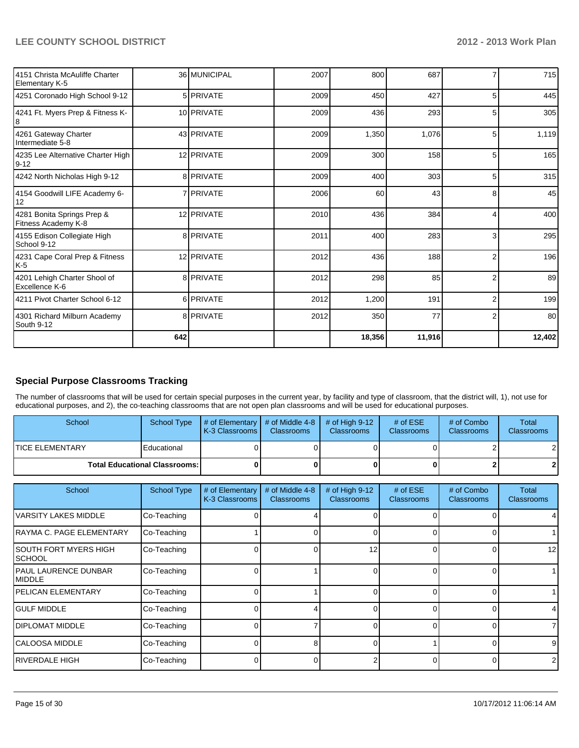| 4151 Christa McAuliffe Charter<br>Elementary K-5  |     | 36 MUNICIPAL     | 2007 | 800    | 687    |                | 715    |
|---------------------------------------------------|-----|------------------|------|--------|--------|----------------|--------|
| 4251 Coronado High School 9-12                    |     | 5 <b>PRIVATE</b> | 2009 | 450    | 427    | 5              | 445    |
| 4241 Ft. Myers Prep & Fitness K-<br>18            |     | 10 PRIVATE       | 2009 | 436    | 293    | 5              | 305    |
| 4261 Gateway Charter<br>Intermediate 5-8          |     | 43 PRIVATE       | 2009 | 1,350  | 1,076  | 5              | 1,119  |
| 4235 Lee Alternative Charter High<br>9-12         |     | 12 PRIVATE       | 2009 | 300    | 158    |                | 165    |
| 4242 North Nicholas High 9-12                     |     | 8 PRIVATE        | 2009 | 400    | 303    | 5              | 315    |
| 4154 Goodwill LIFE Academy 6-<br>12               |     | 7 <b>PRIVATE</b> | 2006 | 60     | 43     | 8              | 45     |
| 4281 Bonita Springs Prep &<br>Fitness Academy K-8 |     | 12 PRIVATE       | 2010 | 436    | 384    | 4              | 400    |
| 4155 Edison Collegiate High<br>School 9-12        |     | 8 PRIVATE        | 2011 | 400    | 283    | 3              | 295    |
| 4231 Cape Coral Prep & Fitness<br>$K-5$           |     | 12 PRIVATE       | 2012 | 436    | 188    | $\overline{2}$ | 196    |
| 4201 Lehigh Charter Shool of<br>Excellence K-6    |     | 8 PRIVATE        | 2012 | 298    | 85     | $\overline{2}$ | 89     |
| 4211 Pivot Charter School 6-12                    |     | 6 PRIVATE        | 2012 | 1,200  | 191    | 2              | 199    |
| 4301 Richard Milburn Academy<br>South 9-12        |     | 8 PRIVATE        | 2012 | 350    | 77     | $\overline{2}$ | 80     |
|                                                   | 642 |                  |      | 18,356 | 11,916 |                | 12,402 |

# **Special Purpose Classrooms Tracking**

The number of classrooms that will be used for certain special purposes in the current year, by facility and type of classroom, that the district will, 1), not use for educational purposes, and 2), the co-teaching classrooms that are not open plan classrooms and will be used for educational purposes.

| School                                 | School Type | $\parallel$ # of Elementary $\parallel$ # of Middle 4-8 $\parallel$<br><b>I</b> K-3 Classrooms | <b>Classrooms</b> | $\#$ of High 9-12<br><b>Classrooms</b> | # of $ESE$<br>Classrooms | # of Combo<br><b>Classrooms</b> | Total<br><b>Classrooms</b> |
|----------------------------------------|-------------|------------------------------------------------------------------------------------------------|-------------------|----------------------------------------|--------------------------|---------------------------------|----------------------------|
| <b>ITICE ELEMENTARY</b>                | Educational |                                                                                                |                   |                                        |                          |                                 | $\overline{2}$             |
| <b>Total Educational Classrooms: I</b> |             |                                                                                                |                   |                                        |                          |                                 | 2 <sub>l</sub>             |

| School                                        | <b>School Type</b> | # of Elementary<br>K-3 Classrooms | # of Middle 4-8<br><b>Classrooms</b> | # of High 9-12<br><b>Classrooms</b> | # of $ESE$<br><b>Classrooms</b> | # of Combo<br><b>Classrooms</b> | Total<br><b>Classrooms</b> |
|-----------------------------------------------|--------------------|-----------------------------------|--------------------------------------|-------------------------------------|---------------------------------|---------------------------------|----------------------------|
| VARSITY LAKES MIDDLE                          | Co-Teaching        |                                   |                                      |                                     |                                 | 0                               |                            |
| IRAYMA C. PAGE ELEMENTARY                     | Co-Teaching        |                                   |                                      |                                     |                                 | $\Omega$                        |                            |
| SOUTH FORT MYERS HIGH<br><b>SCHOOL</b>        | Co-Teaching        |                                   | 0                                    | 12                                  |                                 | $\Omega$                        | 12                         |
| <b>PAUL LAURENCE DUNBAR</b><br><b>IMIDDLE</b> | Co-Teaching        |                                   |                                      |                                     |                                 | $\Omega$                        |                            |
| <b>IPELICAN ELEMENTARY</b>                    | Co-Teaching        |                                   |                                      |                                     |                                 | $\Omega$                        |                            |
| <b>IGULF MIDDLE</b>                           | Co-Teaching        |                                   | Δ                                    | n                                   |                                 | $\Omega$                        | 4                          |
| <b>IDIPLOMAT MIDDLE</b>                       | Co-Teaching        |                                   |                                      |                                     |                                 | 0                               | $\overline{7}$             |
| ICALOOSA MIDDLE                               | Co-Teaching        |                                   | 8                                    |                                     |                                 | $\Omega$                        | 9                          |
| IRIVERDALE HIGH                               | Co-Teaching        |                                   | $\Omega$                             |                                     |                                 | $\Omega$                        | $\overline{2}$             |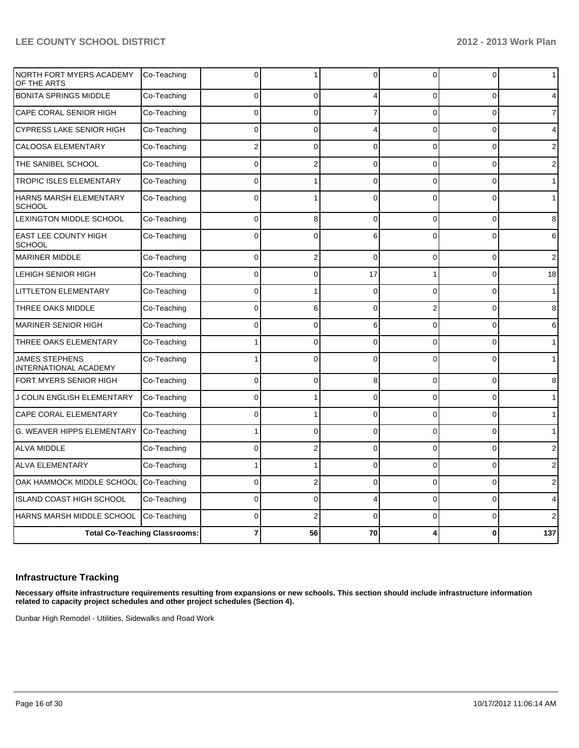|                                              | <b>Total Co-Teaching Classrooms:</b> |              | 56             | 70       |          | O              | 137            |
|----------------------------------------------|--------------------------------------|--------------|----------------|----------|----------|----------------|----------------|
| HARNS MARSH MIDDLE SCHOOL                    | Co-Teaching                          | 0            | $\overline{2}$ | $\Omega$ | $\Omega$ | $\Omega$       | 2              |
| <b>ISLAND COAST HIGH SCHOOL</b>              | Co-Teaching                          | $\Omega$     | $\Omega$       | Δ        | $\Omega$ | 0              | 4              |
| OAK HAMMOCK MIDDLE SCHOOL                    | Co-Teaching                          | 0            | 2              | $\Omega$ | $\Omega$ | $\Omega$       | 2              |
| <b>ALVA ELEMENTARY</b>                       | Co-Teaching                          | 1            |                | $\Omega$ | $\Omega$ | $\Omega$       | 2              |
| <b>ALVA MIDDLE</b>                           | Co-Teaching                          | 0            | $\overline{2}$ | $\Omega$ | 0        | $\Omega$       | $\overline{c}$ |
| G. WEAVER HIPPS ELEMENTARY                   | Co-Teaching                          |              | $\Omega$       | $\Omega$ | $\Omega$ | $\Omega$       | $\mathbf{1}$   |
| <b>CAPE CORAL ELEMENTARY</b>                 | Co-Teaching                          | $\Omega$     |                | $\Omega$ | $\Omega$ | $\Omega$       | $\mathbf{1}$   |
| J COLIN ENGLISH ELEMENTARY                   | Co-Teaching                          | 0            |                | $\Omega$ | $\Omega$ | $\Omega$       | $\mathbf{1}$   |
| FORT MYERS SENIOR HIGH                       | Co-Teaching                          | 0            | $\Omega$       | 8        | 0        | 0              | 8              |
| JAMES STEPHENS<br>INTERNATIONAL ACADEMY      | Co-Teaching                          |              | $\mathbf{0}$   | $\Omega$ | $\Omega$ | $\Omega$       | $\mathbf{1}$   |
| THREE OAKS ELEMENTARY                        | Co-Teaching                          |              | $\Omega$       | $\Omega$ | 0        | $\overline{0}$ | $\mathbf{1}$   |
| <b>MARINER SENIOR HIGH</b>                   | Co-Teaching                          | 0            | $\mathbf{0}$   | 6        | 0        | 0              | 6              |
| THREE OAKS MIDDLE                            | Co-Teaching                          | 0            | 6              | $\Omega$ | 2        | $\Omega$       | 8              |
| LITTLETON ELEMENTARY                         | Co-Teaching                          | 0            |                | $\Omega$ | 0        | 0              | $\mathbf{1}$   |
| LEHIGH SENIOR HIGH                           | Co-Teaching                          | 0            | 0              | 17       | 1        | 0              | 18             |
| <b>MARINER MIDDLE</b>                        | Co-Teaching                          | $\Omega$     | $\overline{2}$ | $\Omega$ | $\Omega$ | $\Omega$       | 2              |
| <b>EAST LEE COUNTY HIGH</b><br><b>SCHOOL</b> | Co-Teaching                          | $\mathbf{0}$ | O              | 6        | $\Omega$ | $\Omega$       | 6              |
| LEXINGTON MIDDLE SCHOOL                      | Co-Teaching                          | 0            | 8              | $\Omega$ | 0        | $\Omega$       | 8              |
| HARNS MARSH ELEMENTARY<br><b>SCHOOL</b>      | Co-Teaching                          | $\mathbf{0}$ |                | $\Omega$ | $\Omega$ | $\Omega$       | $\mathbf{1}$   |
| <b>TROPIC ISLES ELEMENTARY</b>               | Co-Teaching                          | 0            |                | $\Omega$ | 0        | 0              | $\mathbf{1}$   |
| THE SANIBEL SCHOOL                           | Co-Teaching                          | 0            | $\overline{2}$ | $\Omega$ | 0        | $\overline{0}$ | 2              |
| <b>CALOOSA ELEMENTARY</b>                    | Co-Teaching                          | 2            | 0              | $\Omega$ | $\Omega$ | 0              | $\overline{2}$ |
| <b>CYPRESS LAKE SENIOR HIGH</b>              | Co-Teaching                          | 0            | $\Omega$       | 4        | 0        | 0              | 4              |
| CAPE CORAL SENIOR HIGH                       | Co-Teaching                          | 0            | 0              | 7        | 0        | 0              | $\overline{7}$ |
| <b>BONITA SPRINGS MIDDLE</b>                 | Co-Teaching                          | 0            | 0              | 4        | 0        | 0              | 4              |
| NORTH FORT MYERS ACADEMY<br>OF THE ARTS      | Co-Teaching                          | 0            |                | $\Omega$ | 0        | 0              | $\mathbf 1$    |

#### **Infrastructure Tracking**

**Necessary offsite infrastructure requirements resulting from expansions or new schools. This section should include infrastructure information related to capacity project schedules and other project schedules (Section 4).**

Dunbar High Remodel - Utilities, Sidewalks and Road Work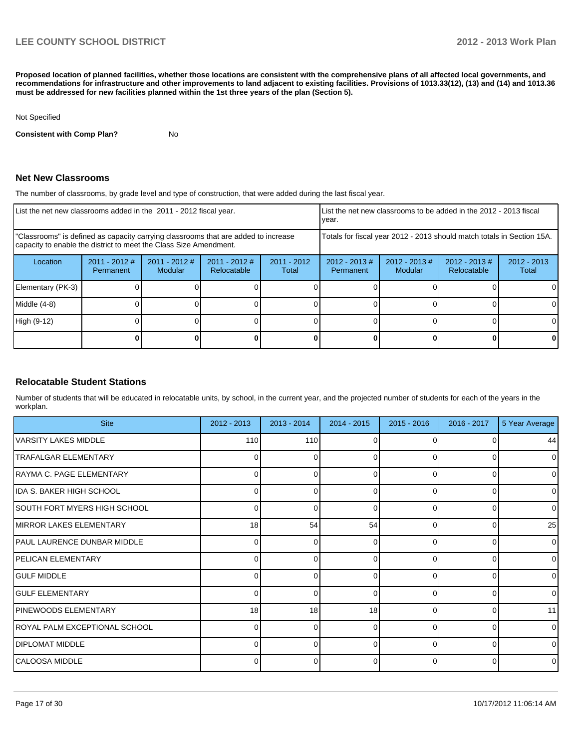**Proposed location of planned facilities, whether those locations are consistent with the comprehensive plans of all affected local governments, and recommendations for infrastructure and other improvements to land adjacent to existing facilities. Provisions of 1013.33(12), (13) and (14) and 1013.36 must be addressed for new facilities planned within the 1st three years of the plan (Section 5).**

#### Not Specified

**Consistent with Comp Plan?** No

#### **Net New Classrooms**

The number of classrooms, by grade level and type of construction, that were added during the last fiscal year.

| List the net new classrooms added in the 2011 - 2012 fiscal year.                                                                                       |                              |                                   |                                |                                                                        | List the net new classrooms to be added in the 2012 - 2013 fiscal<br>Ivear. |                            |                                 |                        |
|---------------------------------------------------------------------------------------------------------------------------------------------------------|------------------------------|-----------------------------------|--------------------------------|------------------------------------------------------------------------|-----------------------------------------------------------------------------|----------------------------|---------------------------------|------------------------|
| "Classrooms" is defined as capacity carrying classrooms that are added to increase<br>capacity to enable the district to meet the Class Size Amendment. |                              |                                   |                                | Totals for fiscal year 2012 - 2013 should match totals in Section 15A. |                                                                             |                            |                                 |                        |
| Location                                                                                                                                                | $2011 - 2012$ #<br>Permanent | $2011 - 2012$ #<br><b>Modular</b> | $2011 - 2012$ #<br>Relocatable | $2011 - 2012$<br>Total                                                 | $2012 - 2013 \#$<br>Permanent                                               | $2012 - 2013$ #<br>Modular | $2012 - 2013 \#$<br>Relocatable | $2012 - 2013$<br>Total |
| Elementary (PK-3)                                                                                                                                       |                              |                                   |                                |                                                                        |                                                                             |                            |                                 |                        |
| $Middle (4-8)$                                                                                                                                          |                              |                                   |                                |                                                                        |                                                                             |                            |                                 |                        |
| High (9-12)                                                                                                                                             |                              |                                   |                                |                                                                        |                                                                             |                            |                                 |                        |
|                                                                                                                                                         |                              |                                   |                                |                                                                        |                                                                             |                            |                                 |                        |

#### **Relocatable Student Stations**

Number of students that will be educated in relocatable units, by school, in the current year, and the projected number of students for each of the years in the workplan.

| <b>Site</b>                        | 2012 - 2013 | $2013 - 2014$ | $2014 - 2015$ | $2015 - 2016$  | $2016 - 2017$ | 5 Year Average |
|------------------------------------|-------------|---------------|---------------|----------------|---------------|----------------|
| VARSITY LAKES MIDDLE               | 110         | 110           |               | <sup>0</sup>   |               | 44             |
| <b>TRAFALGAR ELEMENTARY</b>        | 0           | 0             | 0             | $\Omega$       | 0             | $\overline{0}$ |
| RAYMA C. PAGE ELEMENTARY           |             | ∩             |               | $\Omega$       | ი             | $\overline{0}$ |
| IDA S. BAKER HIGH SCHOOL           | 0           | 0             | 0             | $\Omega$       | 0             | $\overline{0}$ |
| SOUTH FORT MYERS HIGH SCHOOL       |             | ∩             | C             | $\Omega$       | O             | $\overline{0}$ |
| <b>IMIRROR LAKES ELEMENTARY</b>    | 18          | 54            | 54            | $\Omega$       | 0             | 25             |
| <b>PAUL LAURENCE DUNBAR MIDDLE</b> |             | ∩             | n             | $\Omega$       | O             | $\overline{0}$ |
| <b>PELICAN ELEMENTARY</b>          | 0           | 0             | 0             | $\Omega$       | 0             | $\overline{0}$ |
| <b>GULF MIDDLE</b>                 |             | ∩             | U             | $\Omega$       | $\Omega$      | $\Omega$       |
| <b>IGULF ELEMENTARY</b>            | 0           | 0             | 0             | $\Omega$       | 0             | $\overline{0}$ |
| PINEWOODS ELEMENTARY               | 18          | 18            | 18            | $\Omega$       | $\Omega$      | 11             |
| ROYAL PALM EXCEPTIONAL SCHOOL      | $\Omega$    | 0             | $\Omega$      | $\overline{0}$ | 0             | $\overline{0}$ |
| <b>DIPLOMAT MIDDLE</b>             |             | ∩             | ∩             | $\Omega$       | O             | $\overline{0}$ |
| CALOOSA MIDDLE                     |             | 0             | 0             | $\overline{0}$ | $\Omega$      | $\overline{0}$ |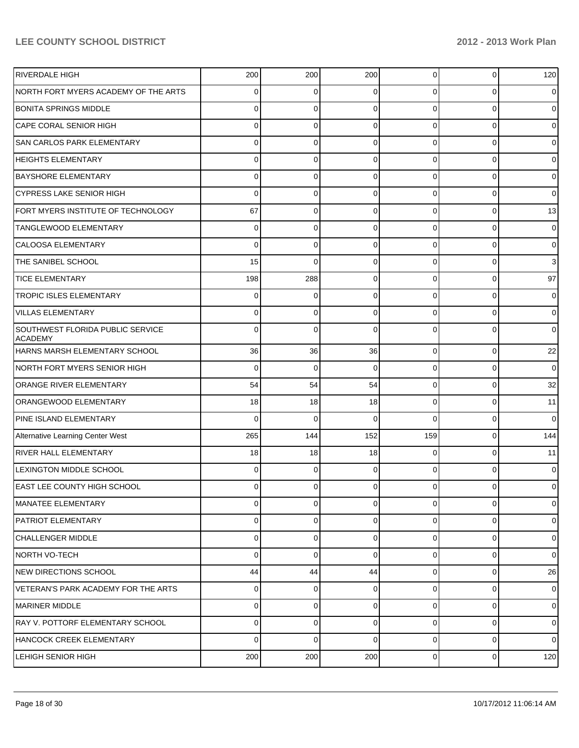| <b>RIVERDALE HIGH</b>                                     | 200      | 200         | 200            | $\overline{0}$ | 0           | 120            |
|-----------------------------------------------------------|----------|-------------|----------------|----------------|-------------|----------------|
| NORTH FORT MYERS ACADEMY OF THE ARTS                      | 0        | 0           | 0              | $\Omega$       | 0           | 0              |
| <b>BONITA SPRINGS MIDDLE</b>                              | 0        | 0           | 0              | $\Omega$       | 0           | 0              |
| CAPE CORAL SENIOR HIGH                                    | 0        | 0           | 0              | $\Omega$       | 0           | 0              |
| <b>SAN CARLOS PARK ELEMENTARY</b>                         | 0        | 0           | 0              | $\Omega$       | 0           | 0              |
| <b>HEIGHTS ELEMENTARY</b>                                 | 0        | 0           | 0              | $\Omega$       | 0           | 0              |
| <b>BAYSHORE ELEMENTARY</b>                                | 0        | 0           | 0              | $\Omega$       | 0           | 0              |
| <b>CYPRESS LAKE SENIOR HIGH</b>                           | 0        | 0           | 0              | $\Omega$       | 0           | 0              |
| FORT MYERS INSTITUTE OF TECHNOLOGY                        | 67       | 0           | 0              | $\Omega$       | 0           | 13             |
| TANGLEWOOD ELEMENTARY                                     | 0        | 0           | 0              | $\Omega$       | 0           | 0              |
| <b>CALOOSA ELEMENTARY</b>                                 | 0        | 0           | 0              | $\Omega$       | 0           | 0              |
| THE SANIBEL SCHOOL                                        | 15       | $\mathbf 0$ | 0              | $\Omega$       | 0           | 3              |
| <b>TICE ELEMENTARY</b>                                    | 198      | 288         | 0              | $\Omega$       | 0           | 97             |
| <b>TROPIC ISLES ELEMENTARY</b>                            | 0        | 0           | 0              | $\Omega$       | 0           | 0              |
| <b>VILLAS ELEMENTARY</b>                                  | 0        | 0           | 0              | 0              | 0           | 0              |
| <b>SOUTHWEST FLORIDA PUBLIC SERVICE</b><br><b>ACADEMY</b> | 0        | 0           | 0              | 0              | $\Omega$    | 0              |
| HARNS MARSH ELEMENTARY SCHOOL                             | 36       | 36          | 36             | $\overline{0}$ | $\mathbf 0$ | 22             |
| NORTH FORT MYERS SENIOR HIGH                              | 0        | 0           | 0              | $\overline{0}$ | $\mathbf 0$ | $\overline{0}$ |
| ORANGE RIVER ELEMENTARY                                   | 54       | 54          | 54             | $\overline{0}$ | $\mathbf 0$ | 32             |
| ORANGEWOOD ELEMENTARY                                     | 18       | 18          | 18             | $\overline{0}$ | $\mathbf 0$ | 11             |
| PINE ISLAND ELEMENTARY                                    | 0        | 0           | 0              | $\Omega$       | $\mathbf 0$ | $\overline{0}$ |
| Alternative Learning Center West                          | 265      | 144         | 152            | 159            | $\mathbf 0$ | 144            |
| RIVER HALL ELEMENTARY                                     | 18       | 18          | 18             | $\overline{0}$ | $\mathbf 0$ | 11             |
| <b>LEXINGTON MIDDLE SCHOOL</b>                            | 0        | 0           | 0              | $\Omega$       | $\mathbf 0$ | $\overline{0}$ |
| EAST LEE COUNTY HIGH SCHOOL                               | $\Omega$ | $\mathbf 0$ | $\overline{0}$ | $\overline{0}$ | $\mathbf 0$ | $\overline{0}$ |
| MANATEE ELEMENTARY                                        | $\Omega$ | 0           | $\Omega$       | $\overline{0}$ | $\mathbf 0$ | $\overline{0}$ |
| <b>PATRIOT ELEMENTARY</b>                                 | $\Omega$ | 0           | 0              | $\overline{0}$ | $\mathbf 0$ | $\overline{0}$ |
| CHALLENGER MIDDLE                                         | $\Omega$ | 0           | $\Omega$       | $\overline{0}$ | 0           | $\overline{0}$ |
| NORTH VO-TECH                                             | $\Omega$ | $\mathbf 0$ | 0              | $\overline{0}$ | 0           | $\overline{0}$ |
| NEW DIRECTIONS SCHOOL                                     | 44       | 44          | 44             | $\overline{0}$ | 0           | 26             |
| VETERAN'S PARK ACADEMY FOR THE ARTS                       | $\Omega$ | $\mathbf 0$ | 0              | $\overline{0}$ | 0           | $\overline{0}$ |
| MARINER MIDDLE                                            | $\Omega$ | 0           | 0              | $\overline{0}$ | 0           | $\overline{0}$ |
| RAY V. POTTORF ELEMENTARY SCHOOL                          | $\Omega$ | 0           | $\Omega$       | $\overline{0}$ | 0           | $\overline{0}$ |
| HANCOCK CREEK ELEMENTARY                                  | $\Omega$ | 0           | $\Omega$       | $\overline{0}$ | 0           | $\overline{0}$ |
| <b>LEHIGH SENIOR HIGH</b>                                 | 200      | 200         | 200            | $\overline{0}$ | 0           | 120            |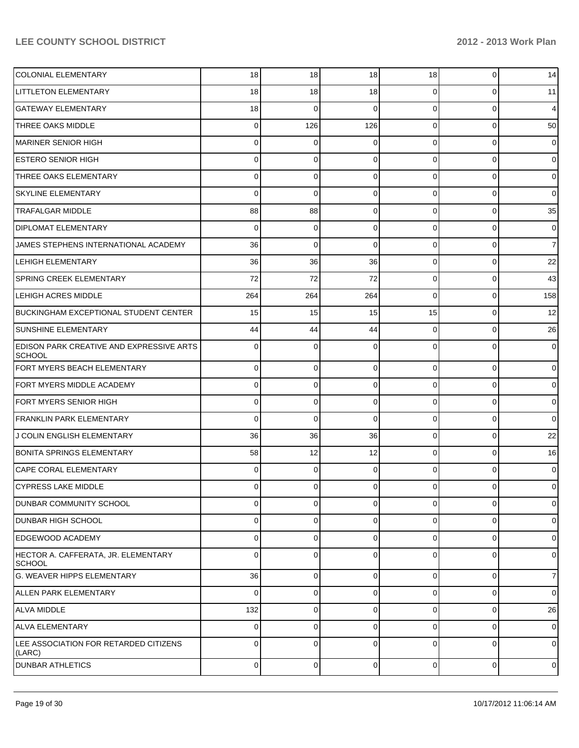| COLONIAL ELEMENTARY                                              | 18       | 18             | 18             | 18             | 0              | 14             |
|------------------------------------------------------------------|----------|----------------|----------------|----------------|----------------|----------------|
| <b>LITTLETON ELEMENTARY</b>                                      | 18       | 18             | 18             | $\Omega$       | 0              | 11             |
| <b>GATEWAY ELEMENTARY</b>                                        | 18       | 0              | 0              | $\Omega$       | 0              | $\overline{4}$ |
| THREE OAKS MIDDLE                                                | 0        | 126            | 126            | $\Omega$       | 0              | 50             |
| MARINER SENIOR HIGH                                              | 0        | 0              | 0              | $\Omega$       | 0              | $\overline{0}$ |
| <b>ESTERO SENIOR HIGH</b>                                        | 0        | 0              | 0              | $\Omega$       | 0              | $\overline{0}$ |
| THREE OAKS ELEMENTARY                                            | 0        | 0              | 0              | $\Omega$       | 0              | 0              |
| <b>SKYLINE ELEMENTARY</b>                                        | 0        | $\mathbf 0$    | 0              | $\Omega$       | 0              | 0              |
| <b>TRAFALGAR MIDDLE</b>                                          | 88       | 88             | 0              | $\Omega$       | 0              | 35             |
| <b>DIPLOMAT ELEMENTARY</b>                                       | 0        | $\mathbf 0$    | 0              | $\Omega$       | 0              | $\overline{0}$ |
| JAMES STEPHENS INTERNATIONAL ACADEMY                             | 36       | $\mathbf 0$    | $\Omega$       | $\Omega$       | 0              | $\overline{7}$ |
| <b>LEHIGH ELEMENTARY</b>                                         | 36       | 36             | 36             | $\Omega$       | $\mathbf 0$    | 22             |
| <b>SPRING CREEK ELEMENTARY</b>                                   | 72       | 72             | 72             | $\Omega$       | 0              | 43             |
| <b>LEHIGH ACRES MIDDLE</b>                                       | 264      | 264            | 264            | $\Omega$       | 0              | 158            |
| BUCKINGHAM EXCEPTIONAL STUDENT CENTER                            | 15       | 15             | 15             | 15             | 0              | 12             |
| <b>SUNSHINE ELEMENTARY</b>                                       | 44       | 44             | 44             | $\Omega$       | 0              | 26             |
| <b>EDISON PARK CREATIVE AND EXPRESSIVE ARTS</b><br><b>SCHOOL</b> | 0        | $\Omega$       | 0              | 0              | $\Omega$       | $\overline{0}$ |
| FORT MYERS BEACH ELEMENTARY                                      | $\Omega$ | 0              | 0              | $\Omega$       | $\Omega$       | $\overline{0}$ |
| FORT MYERS MIDDLE ACADEMY                                        | $\Omega$ | 0              | 0              | $\Omega$       | $\mathbf 0$    | $\overline{0}$ |
| FORT MYERS SENIOR HIGH                                           | $\Omega$ | 0              | 0              | $\Omega$       | $\mathbf 0$    | $\overline{0}$ |
| <b>FRANKLIN PARK ELEMENTARY</b>                                  | 0        | $\mathbf 0$    | $\Omega$       | $\Omega$       | $\mathbf 0$    | $\overline{0}$ |
| J COLIN ENGLISH ELEMENTARY                                       | 36       | 36             | 36             | $\Omega$       | $\mathbf 0$    | 22             |
| <b>BONITA SPRINGS ELEMENTARY</b>                                 | 58       | 12             | 12             | $\Omega$       | $\overline{0}$ | 16             |
| <b>CAPE CORAL ELEMENTARY</b>                                     | 0        | 0              | 0              | $\Omega$       | 0              | $\overline{0}$ |
| <b>CYPRESS LAKE MIDDLE</b>                                       | $\Omega$ | $\overline{0}$ | $\overline{0}$ | $\Omega$       | $\overline{0}$ | $\overline{0}$ |
| <b>DUNBAR COMMUNITY SCHOOL</b>                                   | $\Omega$ | $\Omega$       | $\Omega$       | $\Omega$       | $\Omega$       | $\overline{0}$ |
| <b>DUNBAR HIGH SCHOOL</b>                                        | 0        | $\Omega$       | $\Omega$       | $\Omega$       | $\mathbf 0$    | $\overline{0}$ |
| EDGEWOOD ACADEMY                                                 | 0        | $\Omega$       | $\Omega$       | $\Omega$       | $\Omega$       | $\overline{0}$ |
| HECTOR A. CAFFERATA, JR. ELEMENTARY<br><b>SCHOOL</b>             | 0        | $\Omega$       | 0              | $\Omega$       | $\Omega$       | $\overline{0}$ |
| G. WEAVER HIPPS ELEMENTARY                                       | 36       | 0              | 0              | $\overline{0}$ | 0              | $\overline{7}$ |
| <b>ALLEN PARK ELEMENTARY</b>                                     | $\Omega$ | 0              | $\Omega$       | $\Omega$       | 0              | $\overline{0}$ |
| <b>ALVA MIDDLE</b>                                               | 132      | 0              | $\Omega$       | $\Omega$       | 0              | 26             |
| ALVA ELEMENTARY                                                  | $\Omega$ | 0              | $\Omega$       | $\Omega$       | 0              | $\overline{0}$ |
| LEE ASSOCIATION FOR RETARDED CITIZENS<br>(LARC)                  | 0        | 0              | $\Omega$       | $\Omega$       | $\Omega$       | $\overline{0}$ |
| <b>DUNBAR ATHLETICS</b>                                          | $\Omega$ | $\overline{0}$ | $\overline{0}$ | $\overline{0}$ | $\mathbf 0$    | $\overline{0}$ |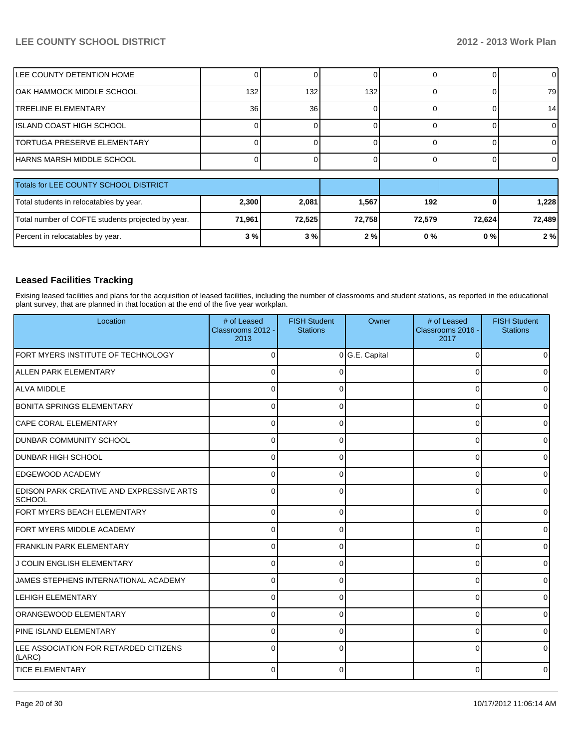| <b>ILEE COUNTY DETENTION HOME</b>                 |        |        |        |        |        |        |
|---------------------------------------------------|--------|--------|--------|--------|--------|--------|
| IOAK HAMMOCK MIDDLE SCHOOL                        | 132    | 132    | 132    |        |        | 79     |
| <b>ITREELINE ELEMENTARY</b>                       | 36     | 36     |        |        |        | 14     |
| IISLAND COAST HIGH SCHOOL                         |        |        |        |        |        |        |
| <b>ITORTUGA PRESERVE ELEMENTARY</b>               |        |        |        |        |        |        |
| HARNS MARSH MIDDLE SCHOOL                         |        |        |        |        |        |        |
| Totals for LEE COUNTY SCHOOL DISTRICT             |        |        |        |        |        |        |
| Total students in relocatables by year.           | 2,300  | 2,081  | 1,567  | 192    |        | 1,228  |
| Total number of COFTE students projected by year. | 71,961 | 72,525 | 72,758 | 72,579 | 72,624 | 72,489 |
| Percent in relocatables by year.                  | 3%     | 3%     | 2%     | 0%     | 0%     | 2%     |

### **Leased Facilities Tracking**

Exising leased facilities and plans for the acquisition of leased facilities, including the number of classrooms and student stations, as reported in the educational plant survey, that are planned in that location at the end of the five year workplan.

| Location                                                  | # of Leased<br>Classrooms 2012 -<br>2013 | <b>FISH Student</b><br><b>Stations</b> | Owner          | # of Leased<br>Classrooms 2016 -<br>2017 | <b>FISH Student</b><br><b>Stations</b> |
|-----------------------------------------------------------|------------------------------------------|----------------------------------------|----------------|------------------------------------------|----------------------------------------|
| FORT MYERS INSTITUTE OF TECHNOLOGY                        | 0                                        |                                        | 0 G.E. Capital | $\Omega$                                 | n                                      |
| ALLEN PARK ELEMENTARY                                     | $\Omega$                                 |                                        |                | $\Omega$                                 |                                        |
| <b>ALVA MIDDLE</b>                                        | $\Omega$                                 |                                        |                | 0                                        |                                        |
| <b>BONITA SPRINGS ELEMENTARY</b>                          | $\Omega$                                 | 0                                      |                | 0                                        | <sup>0</sup>                           |
| <b>CAPE CORAL ELEMENTARY</b>                              | $\Omega$                                 | 0                                      |                | 0                                        | 0                                      |
| <b>DUNBAR COMMUNITY SCHOOL</b>                            | $\Omega$                                 | 0                                      |                | 0                                        | <sup>0</sup>                           |
| <b>DUNBAR HIGH SCHOOL</b>                                 | $\Omega$                                 | 0                                      |                | 0                                        | o                                      |
| <b>EDGEWOOD ACADEMY</b>                                   | $\Omega$                                 | 0                                      |                | 0                                        | U                                      |
| EDISON PARK CREATIVE AND EXPRESSIVE ARTS<br><b>SCHOOL</b> | $\Omega$                                 | 0                                      |                | 0                                        | 0                                      |
| FORT MYERS BEACH ELEMENTARY                               | $\Omega$                                 | $\Omega$                               |                | $\Omega$                                 | 0                                      |
| FORT MYERS MIDDLE ACADEMY                                 | $\Omega$                                 | 0                                      |                | 0                                        | 0                                      |
| <b>FRANKLIN PARK ELEMENTARY</b>                           | $\Omega$                                 | ∩                                      |                | 0                                        | ∩                                      |
| J COLIN ENGLISH ELEMENTARY                                | $\Omega$                                 | $\Omega$                               |                | 0                                        | 0                                      |
| JAMES STEPHENS INTERNATIONAL ACADEMY                      | $\Omega$                                 | ∩                                      |                | $\Omega$                                 | 0                                      |
| <b>LEHIGH ELEMENTARY</b>                                  | $\Omega$                                 |                                        |                | $\Omega$                                 | 0                                      |
| ORANGEWOOD ELEMENTARY                                     | $\Omega$                                 | ŋ                                      |                | $\Omega$                                 |                                        |
| PINE ISLAND ELEMENTARY                                    | $\Omega$                                 | 0                                      |                | 0                                        | <sup>0</sup>                           |
| LEE ASSOCIATION FOR RETARDED CITIZENS<br>(LARC)           | $\Omega$                                 | $\Omega$                               |                | $\Omega$                                 | $\Omega$                               |
| <b>TICE ELEMENTARY</b>                                    | 0                                        | $\Omega$                               |                | 0                                        | 0                                      |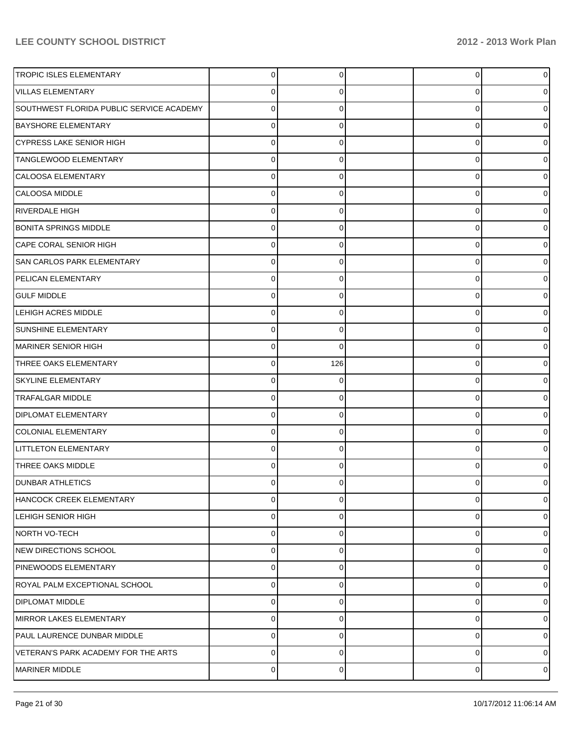| <b>TROPIC ISLES ELEMENTARY</b>           | $\overline{0}$ | 0           | $\overline{0}$ | 0           |
|------------------------------------------|----------------|-------------|----------------|-------------|
| <b>VILLAS ELEMENTARY</b>                 | $\mathbf 0$    | 0           | 0              |             |
| SOUTHWEST FLORIDA PUBLIC SERVICE ACADEMY | $\mathbf 0$    | $\Omega$    | 0              |             |
| <b>BAYSHORE ELEMENTARY</b>               | $\mathbf 0$    | 0           | $\mathbf 0$    |             |
| <b>CYPRESS LAKE SENIOR HIGH</b>          | $\Omega$       | 0           | 0              |             |
| <b>TANGLEWOOD ELEMENTARY</b>             | $\mathbf 0$    | 0           | $\mathbf 0$    |             |
| CALOOSA ELEMENTARY                       | $\Omega$       | $\Omega$    | 0              |             |
| CALOOSA MIDDLE                           | $\mathbf 0$    | $\Omega$    | $\mathbf 0$    |             |
| RIVERDALE HIGH                           | $\Omega$       | $\Omega$    | 0              |             |
| <b>BONITA SPRINGS MIDDLE</b>             | $\mathbf 0$    | 0           | $\mathbf 0$    |             |
| CAPE CORAL SENIOR HIGH                   | 0              | $\Omega$    | 0              |             |
| <b>SAN CARLOS PARK ELEMENTARY</b>        | $\mathbf 0$    | $\Omega$    | $\mathbf 0$    |             |
| PELICAN ELEMENTARY                       | $\Omega$       | 0           | 0              |             |
| <b>GULF MIDDLE</b>                       | $\mathbf 0$    | $\Omega$    | 0              |             |
| <b>LEHIGH ACRES MIDDLE</b>               | 0              | $\Omega$    | 0              |             |
| <b>SUNSHINE ELEMENTARY</b>               | $\mathbf 0$    | $\Omega$    | 0              |             |
| MARINER SENIOR HIGH                      | $\Omega$       | $\Omega$    | 0              |             |
| THREE OAKS ELEMENTARY                    | $\mathbf 0$    | 126         | 0              |             |
| <b>SKYLINE ELEMENTARY</b>                | 0              | ∩           | 0              |             |
| <b>TRAFALGAR MIDDLE</b>                  | $\mathbf 0$    | $\Omega$    | 0              |             |
| <b>DIPLOMAT ELEMENTARY</b>               | $\Omega$       | $\Omega$    | 0              | o           |
| <b>COLONIAL ELEMENTARY</b>               | $\mathbf 0$    | $\Omega$    | $\mathbf 0$    |             |
| <b>LITTLETON ELEMENTARY</b>              | $\Omega$       | 0           | 0              |             |
| THREE OAKS MIDDLE                        | $\Omega$       | 0           | 0              |             |
| <b>DUNBAR ATHLETICS</b>                  | $\Omega$       | 0           | $\overline{0}$ | 0           |
| HANCOCK CREEK ELEMENTARY                 | $\mathbf 0$    | $\Omega$    | 0              | $\mathbf 0$ |
| LEHIGH SENIOR HIGH                       | $\mathbf 0$    | $\Omega$    | $\mathbf 0$    | $\Omega$    |
| NORTH VO-TECH                            | $\Omega$       | $\Omega$    | 0              | $\Omega$    |
| NEW DIRECTIONS SCHOOL                    | $\mathbf 0$    | $\Omega$    | 0              | $\Omega$    |
| PINEWOODS ELEMENTARY                     | $\mathbf 0$    | $\Omega$    | $\mathbf 0$    | $\Omega$    |
| ROYAL PALM EXCEPTIONAL SCHOOL            | $\mathbf 0$    | $\Omega$    | $\mathbf 0$    | $\Omega$    |
| <b>DIPLOMAT MIDDLE</b>                   | $\Omega$       | $\Omega$    | 0              | $\Omega$    |
| MIRROR LAKES ELEMENTARY                  | $\mathbf 0$    | $\Omega$    | 0              | $\Omega$    |
| PAUL LAURENCE DUNBAR MIDDLE              | $\mathbf 0$    | $\Omega$    | 0              | $\Omega$    |
| VETERAN'S PARK ACADEMY FOR THE ARTS      | $\pmb{0}$      | $\Omega$    | 0              | 0           |
| MARINER MIDDLE                           | $\pmb{0}$      | $\mathbf 0$ | 0              | $\mathbf 0$ |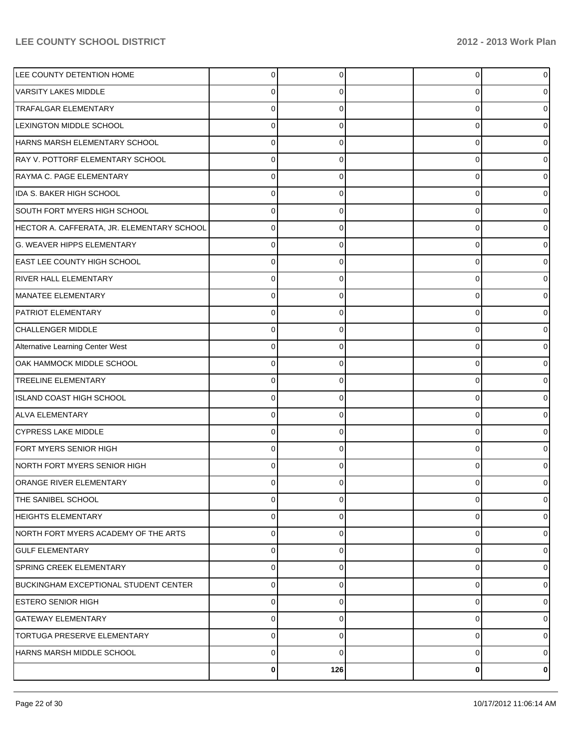| LEE COUNTY DETENTION HOME                  | 0           | 0   | 0        | 0              |
|--------------------------------------------|-------------|-----|----------|----------------|
| <b>VARSITY LAKES MIDDLE</b>                |             | 0   | 0        | 0              |
| <b>TRAFALGAR ELEMENTARY</b>                | 0           |     | 0        | 0              |
| <b>LEXINGTON MIDDLE SCHOOL</b>             | 0           | 0   | $\Omega$ | 0              |
| HARNS MARSH ELEMENTARY SCHOOL              |             |     | 0        | 0              |
| RAY V. POTTORF ELEMENTARY SCHOOL           |             | 0   | 0        | 0              |
| RAYMA C. PAGE ELEMENTARY                   |             |     | U        | 0              |
| IDA S. BAKER HIGH SCHOOL                   |             | 0   | 0        | 0              |
| SOUTH FORT MYERS HIGH SCHOOL               |             |     | 0        | 0              |
| HECTOR A. CAFFERATA, JR. ELEMENTARY SCHOOL | 0           | 0   | 0        | 0              |
| G. WEAVER HIPPS ELEMENTARY                 |             |     | 0        | 0              |
| <b>EAST LEE COUNTY HIGH SCHOOL</b>         |             | 0   | 0        | 0              |
| <b>RIVER HALL ELEMENTARY</b>               |             |     | U        | 0              |
| MANATEE ELEMENTARY                         |             |     | U        |                |
| <b>PATRIOT ELEMENTARY</b>                  |             |     | U        |                |
| CHALLENGER MIDDLE                          |             | 0   | 0        | 0              |
| Alternative Learning Center West           |             |     | 0        | 0              |
| OAK HAMMOCK MIDDLE SCHOOL                  |             | 0   | 0        | 0              |
| <b>TREELINE ELEMENTARY</b>                 |             |     | U        | 0              |
| ISLAND COAST HIGH SCHOOL                   |             |     | U        | 0              |
| <b>ALVA ELEMENTARY</b>                     |             |     | U        | 0              |
| CYPRESS LAKE MIDDLE                        |             | 0   | 0        | 0              |
| FORT MYERS SENIOR HIGH                     |             |     | $\Omega$ | 0              |
| NORTH FORT MYERS SENIOR HIGH               |             | 0   | 0        | 0              |
| ORANGE RIVER ELEMENTARY                    |             |     |          | 0              |
| THE SANIBEL SCHOOL                         | $\Omega$    | 0   | 0        | $\overline{0}$ |
| <b>HEIGHTS ELEMENTARY</b>                  | 0           | 0   | 0        | 0              |
| NORTH FORT MYERS ACADEMY OF THE ARTS       | 0           | 0   | 0        | 0              |
| <b>GULF ELEMENTARY</b>                     | $\mathbf 0$ | 0   | 0        | 0              |
| SPRING CREEK ELEMENTARY                    | $\mathbf 0$ | 0   | 0        | $\overline{0}$ |
| BUCKINGHAM EXCEPTIONAL STUDENT CENTER      | $\mathbf 0$ | 0   | 0        | 0              |
| <b>ESTERO SENIOR HIGH</b>                  | 0           | 0   | 0        | 0              |
| <b>GATEWAY ELEMENTARY</b>                  | 0           | 0   | 0        | 0              |
| TORTUGA PRESERVE ELEMENTARY                | 0           | 0   | 0        | 0              |
| HARNS MARSH MIDDLE SCHOOL                  | $\mathbf 0$ | 0   | 0        | $\overline{0}$ |
|                                            | $\bf{0}$    | 126 | 0        | $\mathbf{0}$   |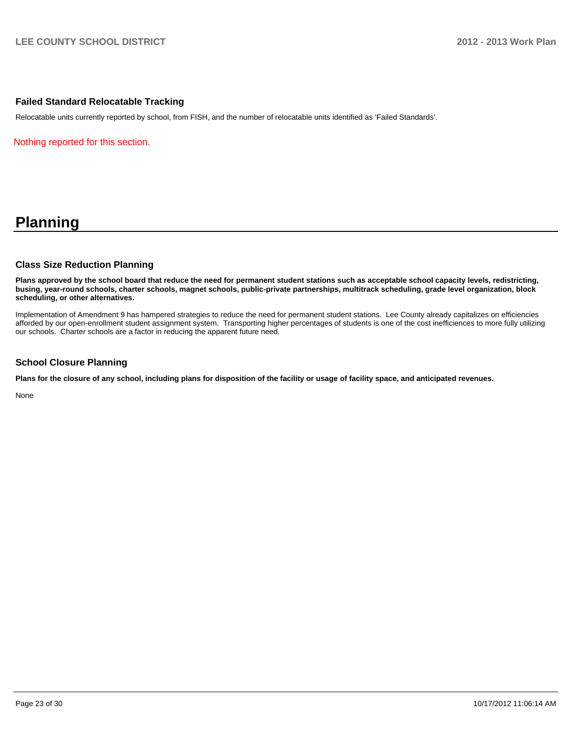#### **Failed Standard Relocatable Tracking**

Relocatable units currently reported by school, from FISH, and the number of relocatable units identified as 'Failed Standards'.

Nothing reported for this section.

# **Planning**

#### **Class Size Reduction Planning**

**Plans approved by the school board that reduce the need for permanent student stations such as acceptable school capacity levels, redistricting, busing, year-round schools, charter schools, magnet schools, public-private partnerships, multitrack scheduling, grade level organization, block scheduling, or other alternatives.**

Implementation of Amendment 9 has hampered strategies to reduce the need for permanent student stations. Lee County already capitalizes on efficiencies afforded by our open-enrollment student assignment system. Transporting higher percentages of students is one of the cost inefficiences to more fully utilizing our schools. Charter schools are a factor in reducing the apparent future need.

#### **School Closure Planning**

**Plans for the closure of any school, including plans for disposition of the facility or usage of facility space, and anticipated revenues.**

None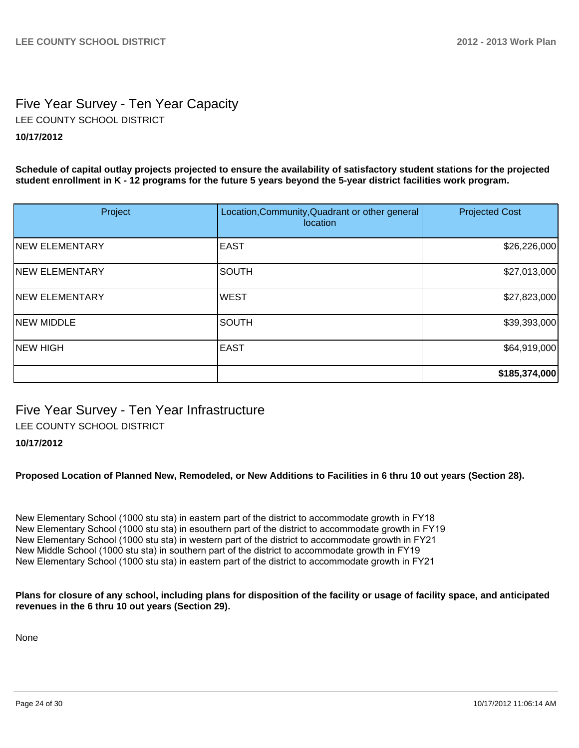# Five Year Survey - Ten Year Capacity **10/17/2012** LEE COUNTY SCHOOL DISTRICT

**Schedule of capital outlay projects projected to ensure the availability of satisfactory student stations for the projected student enrollment in K - 12 programs for the future 5 years beyond the 5-year district facilities work program.**

| Project               | Location, Community, Quadrant or other general<br>location | <b>Projected Cost</b> |
|-----------------------|------------------------------------------------------------|-----------------------|
| <b>NEW ELEMENTARY</b> | <b>EAST</b>                                                | \$26,226,000          |
| <b>NEW ELEMENTARY</b> | <b>SOUTH</b>                                               | \$27,013,000          |
| <b>NEW ELEMENTARY</b> | <b>WEST</b>                                                | \$27,823,000          |
| <b>NEW MIDDLE</b>     | <b>SOUTH</b>                                               | \$39,393,000          |
| <b>NEW HIGH</b>       | <b>EAST</b>                                                | \$64,919,000          |
|                       |                                                            | \$185,374,000         |

Five Year Survey - Ten Year Infrastructure LEE COUNTY SCHOOL DISTRICT

# **10/17/2012**

**Proposed Location of Planned New, Remodeled, or New Additions to Facilities in 6 thru 10 out years (Section 28).**

New Elementary School (1000 stu sta) in eastern part of the district to accommodate growth in FY18 New Elementary School (1000 stu sta) in esouthern part of the district to accommodate growth in FY19 New Elementary School (1000 stu sta) in western part of the district to accommodate growth in FY21 New Middle School (1000 stu sta) in southern part of the district to accommodate growth in FY19 New Elementary School (1000 stu sta) in eastern part of the district to accommodate growth in FY21

**Plans for closure of any school, including plans for disposition of the facility or usage of facility space, and anticipated revenues in the 6 thru 10 out years (Section 29).**

None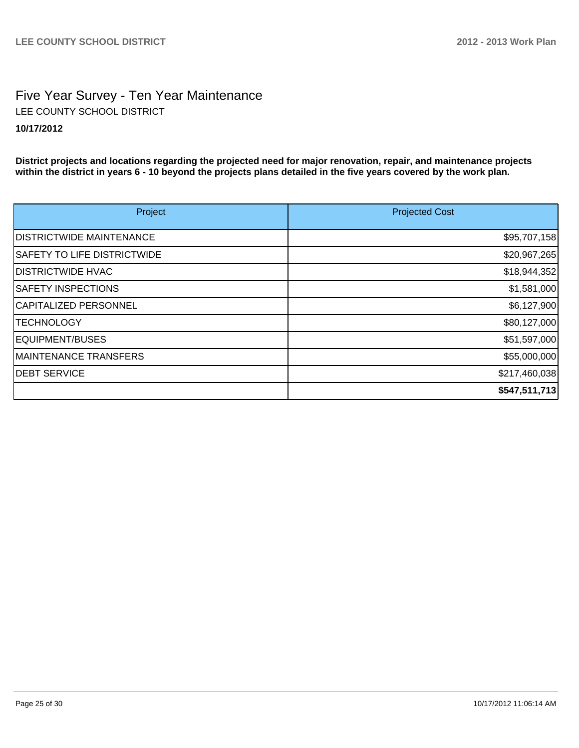# Five Year Survey - Ten Year Maintenance **10/17/2012** LEE COUNTY SCHOOL DISTRICT

**District projects and locations regarding the projected need for major renovation, repair, and maintenance projects within the district in years 6 - 10 beyond the projects plans detailed in the five years covered by the work plan.**

| Project                            | <b>Projected Cost</b> |
|------------------------------------|-----------------------|
| <b>IDISTRICTWIDE MAINTENANCE</b>   | \$95,707,158          |
| <b>SAFETY TO LIFE DISTRICTWIDE</b> | \$20,967,265          |
| <b>DISTRICTWIDE HVAC</b>           | \$18,944,352          |
| <b>SAFETY INSPECTIONS</b>          | \$1,581,000           |
| CAPITALIZED PERSONNEL              | \$6,127,900           |
| <b>TECHNOLOGY</b>                  | \$80,127,000          |
| EQUIPMENT/BUSES                    | \$51,597,000          |
| MAINTENANCE TRANSFERS              | \$55,000,000          |
| <b>DEBT SERVICE</b>                | \$217,460,038         |
|                                    | \$547,511,713         |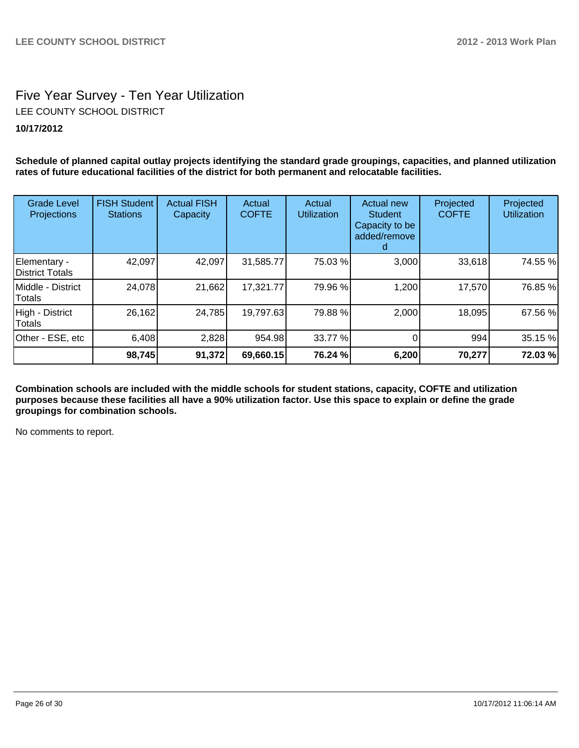# Five Year Survey - Ten Year Utilization **10/17/2012** LEE COUNTY SCHOOL DISTRICT

**Schedule of planned capital outlay projects identifying the standard grade groupings, capacities, and planned utilization rates of future educational facilities of the district for both permanent and relocatable facilities.**

| <b>Grade Level</b><br><b>Projections</b> | <b>FISH Student</b><br><b>Stations</b> | <b>Actual FISH</b><br>Capacity | Actual<br><b>COFTE</b> | Actual<br><b>Utilization</b> | <b>Actual new</b><br><b>Student</b><br>Capacity to be<br>added/remove | Projected<br><b>COFTE</b> | Projected<br><b>Utilization</b> |
|------------------------------------------|----------------------------------------|--------------------------------|------------------------|------------------------------|-----------------------------------------------------------------------|---------------------------|---------------------------------|
| Elementary -<br><b>District Totals</b>   | 42,097                                 | 42,097                         | 31,585.77              | 75.03 %                      | 3,000                                                                 | 33,618                    | 74.55 %                         |
| Middle - District<br>Totals              | 24,078                                 | 21,662                         | 17,321.77              | 79.96 %                      | 1,200                                                                 | 17,570                    | 76.85 %                         |
| High - District<br>Totals                | 26,162                                 | 24,785                         | 19,797.63              | 79.88 %                      | 2,000                                                                 | 18,095                    | 67.56 %                         |
| Other - ESE, etc                         | 6,408                                  | 2,828                          | 954.98                 | 33.77 %                      |                                                                       | 994                       | 35.15 %                         |
|                                          | 98,745                                 | 91,372                         | 69,660.15              | 76.24 %                      | 6,200                                                                 | 70,277                    | 72.03 %                         |

**Combination schools are included with the middle schools for student stations, capacity, COFTE and utilization purposes because these facilities all have a 90% utilization factor. Use this space to explain or define the grade groupings for combination schools.**

No comments to report.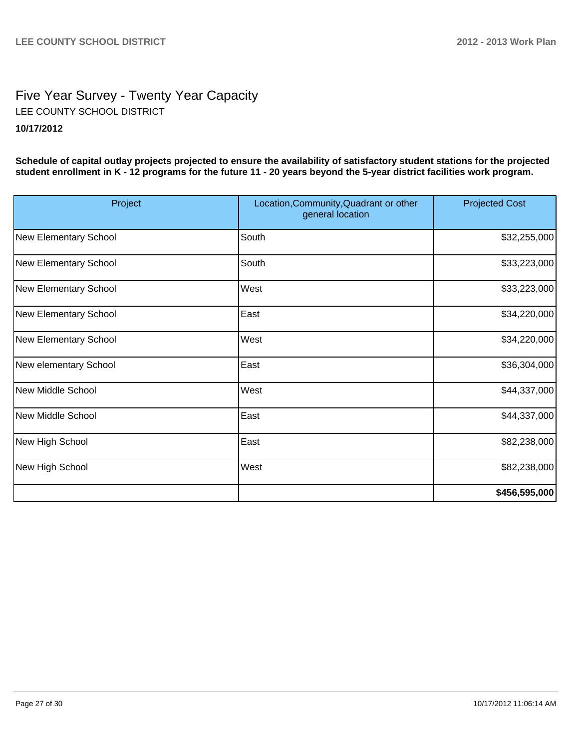# Five Year Survey - Twenty Year Capacity **10/17/2012** LEE COUNTY SCHOOL DISTRICT

**Schedule of capital outlay projects projected to ensure the availability of satisfactory student stations for the projected student enrollment in K - 12 programs for the future 11 - 20 years beyond the 5-year district facilities work program.**

| Project               | Location, Community, Quadrant or other<br>general location | <b>Projected Cost</b> |
|-----------------------|------------------------------------------------------------|-----------------------|
| New Elementary School | South                                                      | \$32,255,000          |
| New Elementary School | South                                                      | \$33,223,000          |
| New Elementary School | West                                                       | \$33,223,000          |
| New Elementary School | East                                                       | \$34,220,000          |
| New Elementary School | West                                                       | \$34,220,000          |
| New elementary School | East                                                       | \$36,304,000          |
| New Middle School     | <b>West</b>                                                | \$44,337,000          |
| New Middle School     | East                                                       | \$44,337,000          |
| New High School       | East                                                       | \$82,238,000          |
| New High School       | West                                                       | \$82,238,000          |
|                       |                                                            | \$456,595,000         |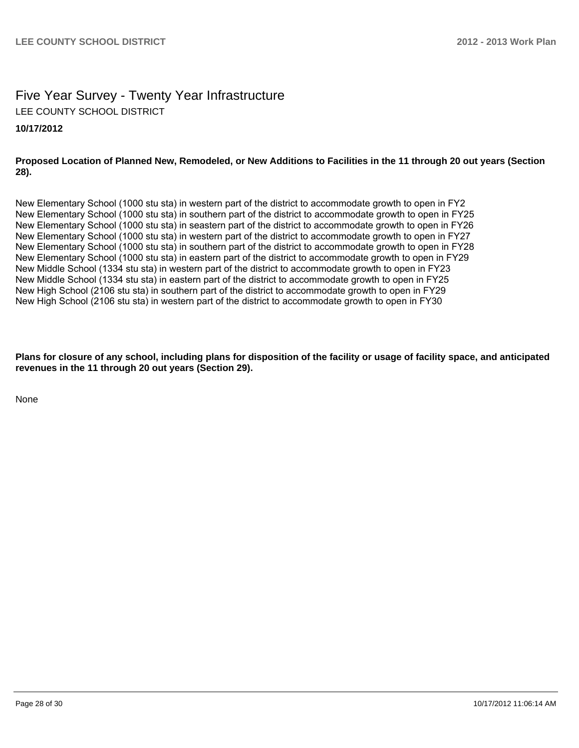# Five Year Survey - Twenty Year Infrastructure LEE COUNTY SCHOOL DISTRICT

# **10/17/2012**

### **Proposed Location of Planned New, Remodeled, or New Additions to Facilities in the 11 through 20 out years (Section 28).**

New Elementary School (1000 stu sta) in western part of the district to accommodate growth to open in FY2 New Elementary School (1000 stu sta) in southern part of the district to accommodate growth to open in FY25 New Elementary School (1000 stu sta) in seastern part of the district to accommodate growth to open in FY26 New Elementary School (1000 stu sta) in western part of the district to accommodate growth to open in FY27 New Elementary School (1000 stu sta) in southern part of the district to accommodate growth to open in FY28 New Elementary School (1000 stu sta) in eastern part of the district to accommodate growth to open in FY29 New Middle School (1334 stu sta) in western part of the district to accommodate growth to open in FY23 New Middle School (1334 stu sta) in eastern part of the district to accommodate growth to open in FY25 New High School (2106 stu sta) in southern part of the district to accommodate growth to open in FY29 New High School (2106 stu sta) in western part of the district to accommodate growth to open in FY30

**Plans for closure of any school, including plans for disposition of the facility or usage of facility space, and anticipated revenues in the 11 through 20 out years (Section 29).**

None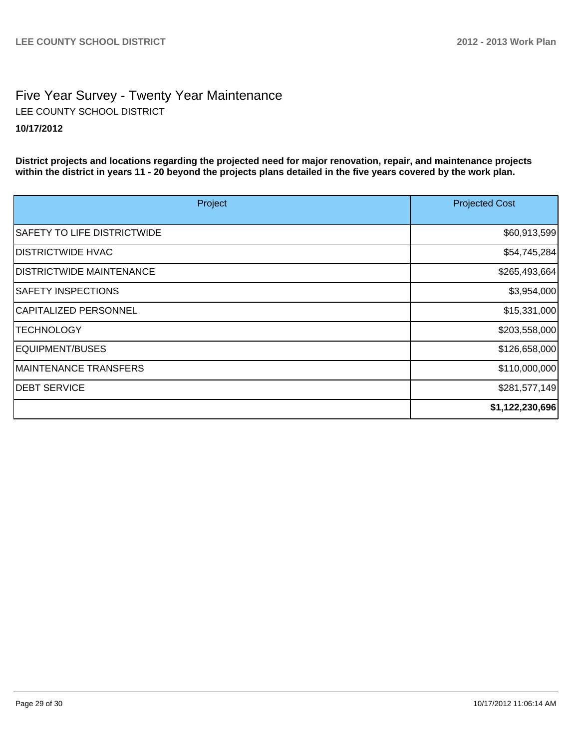# Five Year Survey - Twenty Year Maintenance **10/17/2012** LEE COUNTY SCHOOL DISTRICT

**District projects and locations regarding the projected need for major renovation, repair, and maintenance projects within the district in years 11 - 20 beyond the projects plans detailed in the five years covered by the work plan.**

| Project                            | <b>Projected Cost</b> |
|------------------------------------|-----------------------|
| <b>SAFETY TO LIFE DISTRICTWIDE</b> | \$60,913,599          |
| <b>DISTRICTWIDE HVAC</b>           | \$54,745,284          |
| <b>IDISTRICTWIDE MAINTENANCE</b>   | \$265,493,664         |
| <b>SAFETY INSPECTIONS</b>          | \$3,954,000           |
| CAPITALIZED PERSONNEL              | \$15,331,000          |
| <b>TECHNOLOGY</b>                  | \$203,558,000         |
| EQUIPMENT/BUSES                    | \$126,658,000         |
| <b>MAINTENANCE TRANSFERS</b>       | \$110,000,000         |
| <b>IDEBT SERVICE</b>               | \$281,577,149         |
|                                    | \$1,122,230,696       |